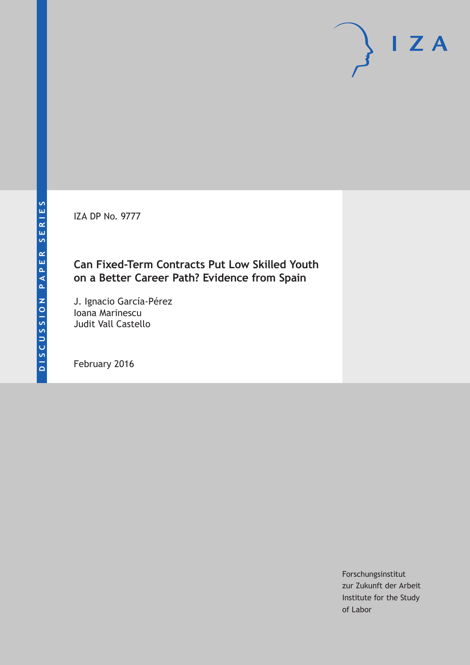IZA DP No. 9777

# **Can Fixed-Term Contracts Put Low Skilled Youth on a Better Career Path? Evidence from Spain**

J. Ignacio García-Pérez Ioana Marinescu Judit Vall Castello

February 2016

Forschungsinstitut zur Zukunft der Arbeit Institute for the Study of Labor

 $I Z A$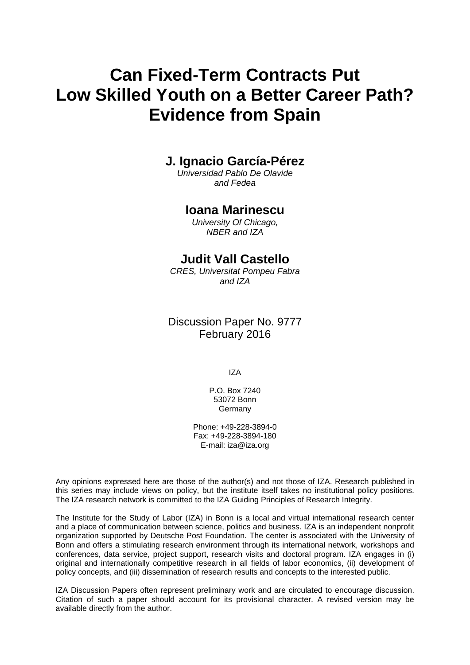# **Can Fixed-Term Contracts Put Low Skilled Youth on a Better Career Path? Evidence from Spain**

# **J. Ignacio García-Pérez**

*Universidad Pablo De Olavide and Fedea* 

### **Ioana Marinescu**

*University Of Chicago, NBER and IZA* 

## **Judit Vall Castello**

*CRES, Universitat Pompeu Fabra and IZA*

Discussion Paper No. 9777 February 2016

IZA

P.O. Box 7240 53072 Bonn **Germany** 

Phone: +49-228-3894-0 Fax: +49-228-3894-180 E-mail: iza@iza.org

Any opinions expressed here are those of the author(s) and not those of IZA. Research published in this series may include views on policy, but the institute itself takes no institutional policy positions. The IZA research network is committed to the IZA Guiding Principles of Research Integrity.

The Institute for the Study of Labor (IZA) in Bonn is a local and virtual international research center and a place of communication between science, politics and business. IZA is an independent nonprofit organization supported by Deutsche Post Foundation. The center is associated with the University of Bonn and offers a stimulating research environment through its international network, workshops and conferences, data service, project support, research visits and doctoral program. IZA engages in (i) original and internationally competitive research in all fields of labor economics, (ii) development of policy concepts, and (iii) dissemination of research results and concepts to the interested public.

IZA Discussion Papers often represent preliminary work and are circulated to encourage discussion. Citation of such a paper should account for its provisional character. A revised version may be available directly from the author.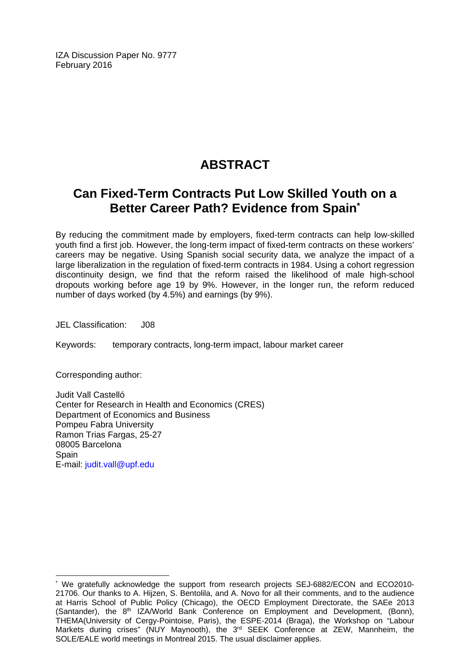IZA Discussion Paper No. 9777 February 2016

# **ABSTRACT**

# **Can Fixed-Term Contracts Put Low Skilled Youth on a Better Career Path? Evidence from Spain\***

By reducing the commitment made by employers, fixed-term contracts can help low-skilled youth find a first job. However, the long-term impact of fixed-term contracts on these workers' careers may be negative. Using Spanish social security data, we analyze the impact of a large liberalization in the regulation of fixed-term contracts in 1984. Using a cohort regression discontinuity design, we find that the reform raised the likelihood of male high-school dropouts working before age 19 by 9%. However, in the longer run, the reform reduced number of days worked (by 4.5%) and earnings (by 9%).

JEL Classification: J08

Keywords: temporary contracts, long-term impact, labour market career

Corresponding author:

 $\overline{\phantom{a}}$ 

Judit Vall Castelló Center for Research in Health and Economics (CRES) Department of Economics and Business Pompeu Fabra University Ramon Trias Fargas, 25-27 08005 Barcelona **Spain** E-mail: judit.vall@upf.edu

<sup>\*</sup> We gratefully acknowledge the support from research projects SEJ-6882/ECON and ECO2010-21706. Our thanks to A. Hijzen, S. Bentolila, and A. Novo for all their comments, and to the audience at Harris School of Public Policy (Chicago), the OECD Employment Directorate, the SAEe 2013 (Santander), the 8<sup>th</sup> IZA/World Bank Conference on Employment and Development, (Bonn), THEMA(University of Cergy-Pointoise, Paris), the ESPE-2014 (Braga), the Workshop on "Labour Markets during crises" (NUY Maynooth), the 3<sup>rd</sup> SEEK Conference at ZEW, Mannheim, the SOLE/EALE world meetings in Montreal 2015. The usual disclaimer applies.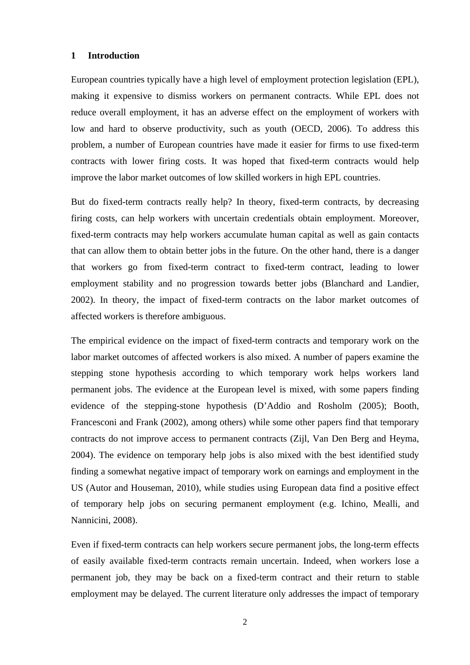#### **1 Introduction**

European countries typically have a high level of employment protection legislation (EPL), making it expensive to dismiss workers on permanent contracts. While EPL does not reduce overall employment, it has an adverse effect on the employment of workers with low and hard to observe productivity, such as youth (OECD, 2006). To address this problem, a number of European countries have made it easier for firms to use fixed-term contracts with lower firing costs. It was hoped that fixed-term contracts would help improve the labor market outcomes of low skilled workers in high EPL countries.

But do fixed-term contracts really help? In theory, fixed-term contracts, by decreasing firing costs, can help workers with uncertain credentials obtain employment. Moreover, fixed-term contracts may help workers accumulate human capital as well as gain contacts that can allow them to obtain better jobs in the future. On the other hand, there is a danger that workers go from fixed-term contract to fixed-term contract, leading to lower employment stability and no progression towards better jobs (Blanchard and Landier, 2002). In theory, the impact of fixed-term contracts on the labor market outcomes of affected workers is therefore ambiguous.

The empirical evidence on the impact of fixed-term contracts and temporary work on the labor market outcomes of affected workers is also mixed. A number of papers examine the stepping stone hypothesis according to which temporary work helps workers land permanent jobs. The evidence at the European level is mixed, with some papers finding evidence of the stepping-stone hypothesis (D'Addio and Rosholm (2005); Booth, Francesconi and Frank (2002), among others) while some other papers find that temporary contracts do not improve access to permanent contracts (Zijl, Van Den Berg and Heyma, 2004). The evidence on temporary help jobs is also mixed with the best identified study finding a somewhat negative impact of temporary work on earnings and employment in the US (Autor and Houseman, 2010), while studies using European data find a positive effect of temporary help jobs on securing permanent employment (e.g. Ichino, Mealli, and Nannicini, 2008).

Even if fixed-term contracts can help workers secure permanent jobs, the long-term effects of easily available fixed-term contracts remain uncertain. Indeed, when workers lose a permanent job, they may be back on a fixed-term contract and their return to stable employment may be delayed. The current literature only addresses the impact of temporary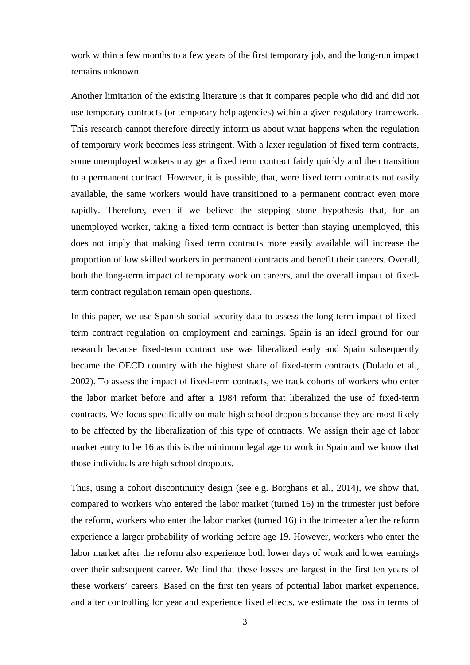work within a few months to a few years of the first temporary job, and the long-run impact remains unknown.

Another limitation of the existing literature is that it compares people who did and did not use temporary contracts (or temporary help agencies) within a given regulatory framework. This research cannot therefore directly inform us about what happens when the regulation of temporary work becomes less stringent. With a laxer regulation of fixed term contracts, some unemployed workers may get a fixed term contract fairly quickly and then transition to a permanent contract. However, it is possible, that, were fixed term contracts not easily available, the same workers would have transitioned to a permanent contract even more rapidly. Therefore, even if we believe the stepping stone hypothesis that, for an unemployed worker, taking a fixed term contract is better than staying unemployed, this does not imply that making fixed term contracts more easily available will increase the proportion of low skilled workers in permanent contracts and benefit their careers. Overall, both the long-term impact of temporary work on careers, and the overall impact of fixedterm contract regulation remain open questions.

In this paper, we use Spanish social security data to assess the long-term impact of fixedterm contract regulation on employment and earnings. Spain is an ideal ground for our research because fixed-term contract use was liberalized early and Spain subsequently became the OECD country with the highest share of fixed-term contracts (Dolado et al., 2002). To assess the impact of fixed-term contracts, we track cohorts of workers who enter the labor market before and after a 1984 reform that liberalized the use of fixed-term contracts. We focus specifically on male high school dropouts because they are most likely to be affected by the liberalization of this type of contracts. We assign their age of labor market entry to be 16 as this is the minimum legal age to work in Spain and we know that those individuals are high school dropouts.

Thus, using a cohort discontinuity design (see e.g. Borghans et al., 2014), we show that, compared to workers who entered the labor market (turned 16) in the trimester just before the reform, workers who enter the labor market (turned 16) in the trimester after the reform experience a larger probability of working before age 19. However, workers who enter the labor market after the reform also experience both lower days of work and lower earnings over their subsequent career. We find that these losses are largest in the first ten years of these workers' careers. Based on the first ten years of potential labor market experience, and after controlling for year and experience fixed effects, we estimate the loss in terms of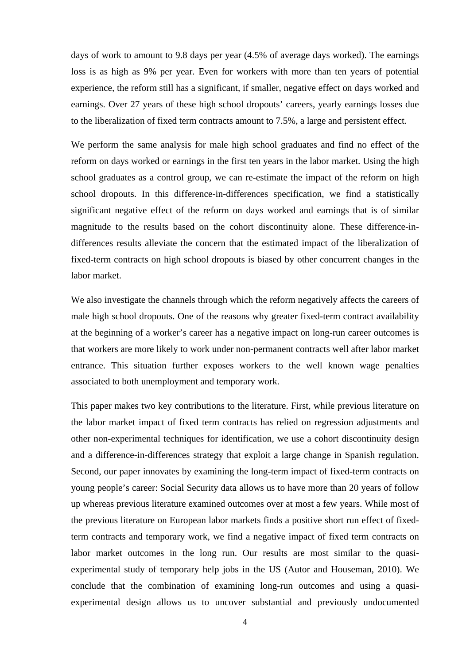days of work to amount to 9.8 days per year (4.5% of average days worked). The earnings loss is as high as 9% per year. Even for workers with more than ten years of potential experience, the reform still has a significant, if smaller, negative effect on days worked and earnings. Over 27 years of these high school dropouts' careers, yearly earnings losses due to the liberalization of fixed term contracts amount to 7.5%, a large and persistent effect.

We perform the same analysis for male high school graduates and find no effect of the reform on days worked or earnings in the first ten years in the labor market. Using the high school graduates as a control group, we can re-estimate the impact of the reform on high school dropouts. In this difference-in-differences specification, we find a statistically significant negative effect of the reform on days worked and earnings that is of similar magnitude to the results based on the cohort discontinuity alone. These difference-indifferences results alleviate the concern that the estimated impact of the liberalization of fixed-term contracts on high school dropouts is biased by other concurrent changes in the labor market.

We also investigate the channels through which the reform negatively affects the careers of male high school dropouts. One of the reasons why greater fixed-term contract availability at the beginning of a worker's career has a negative impact on long-run career outcomes is that workers are more likely to work under non-permanent contracts well after labor market entrance. This situation further exposes workers to the well known wage penalties associated to both unemployment and temporary work.

This paper makes two key contributions to the literature. First, while previous literature on the labor market impact of fixed term contracts has relied on regression adjustments and other non-experimental techniques for identification, we use a cohort discontinuity design and a difference-in-differences strategy that exploit a large change in Spanish regulation. Second, our paper innovates by examining the long-term impact of fixed-term contracts on young people's career: Social Security data allows us to have more than 20 years of follow up whereas previous literature examined outcomes over at most a few years. While most of the previous literature on European labor markets finds a positive short run effect of fixedterm contracts and temporary work, we find a negative impact of fixed term contracts on labor market outcomes in the long run. Our results are most similar to the quasiexperimental study of temporary help jobs in the US (Autor and Houseman, 2010). We conclude that the combination of examining long-run outcomes and using a quasiexperimental design allows us to uncover substantial and previously undocumented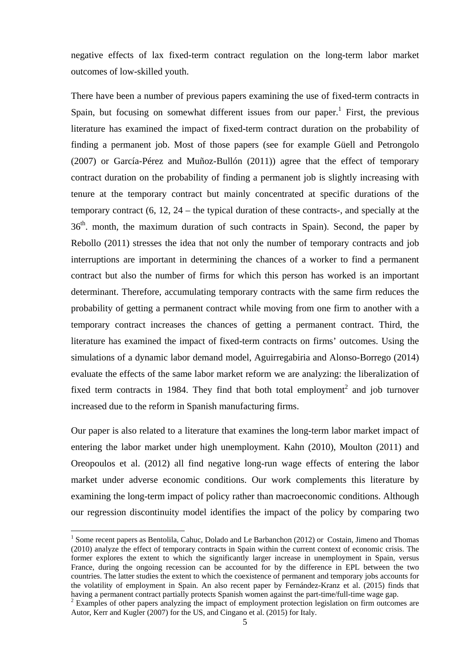negative effects of lax fixed-term contract regulation on the long-term labor market outcomes of low-skilled youth.

There have been a number of previous papers examining the use of fixed-term contracts in Spain, but focusing on somewhat different issues from our paper.<sup>1</sup> First, the previous literature has examined the impact of fixed-term contract duration on the probability of finding a permanent job. Most of those papers (see for example Güell and Petrongolo (2007) or García-Pérez and Muñoz-Bullón (2011)) agree that the effect of temporary contract duration on the probability of finding a permanent job is slightly increasing with tenure at the temporary contract but mainly concentrated at specific durations of the temporary contract (6, 12, 24 – the typical duration of these contracts-, and specially at the 36<sup>th</sup>. month, the maximum duration of such contracts in Spain). Second, the paper by Rebollo (2011) stresses the idea that not only the number of temporary contracts and job interruptions are important in determining the chances of a worker to find a permanent contract but also the number of firms for which this person has worked is an important determinant. Therefore, accumulating temporary contracts with the same firm reduces the probability of getting a permanent contract while moving from one firm to another with a temporary contract increases the chances of getting a permanent contract. Third, the literature has examined the impact of fixed-term contracts on firms' outcomes. Using the simulations of a dynamic labor demand model, Aguirregabiria and Alonso-Borrego (2014) evaluate the effects of the same labor market reform we are analyzing: the liberalization of fixed term contracts in 1984. They find that both total employment<sup>2</sup> and job turnover increased due to the reform in Spanish manufacturing firms.

Our paper is also related to a literature that examines the long-term labor market impact of entering the labor market under high unemployment. Kahn (2010), Moulton (2011) and Oreopoulos et al. (2012) all find negative long-run wage effects of entering the labor market under adverse economic conditions. Our work complements this literature by examining the long-term impact of policy rather than macroeconomic conditions. Although our regression discontinuity model identifies the impact of the policy by comparing two

1

<sup>&</sup>lt;sup>1</sup> Some recent papers as Bentolila, Cahuc, Dolado and Le Barbanchon (2012) or Costain, Jimeno and Thomas (2010) analyze the effect of temporary contracts in Spain within the current context of economic crisis. The former explores the extent to which the significantly larger increase in unemployment in Spain, versus France, during the ongoing recession can be accounted for by the difference in EPL between the two countries. The latter studies the extent to which the coexistence of permanent and temporary jobs accounts for the volatility of employment in Spain. An also recent paper by Fernández-Kranz et al. (2015) finds that having a permanent contract partially protects Spanish women against the part-time/full-time wage gap.

<sup>&</sup>lt;sup>2</sup> Examples of other papers analyzing the impact of employment protection legislation on firm outcomes are Autor, Kerr and Kugler (2007) for the US, and Cingano et al. (2015) for Italy.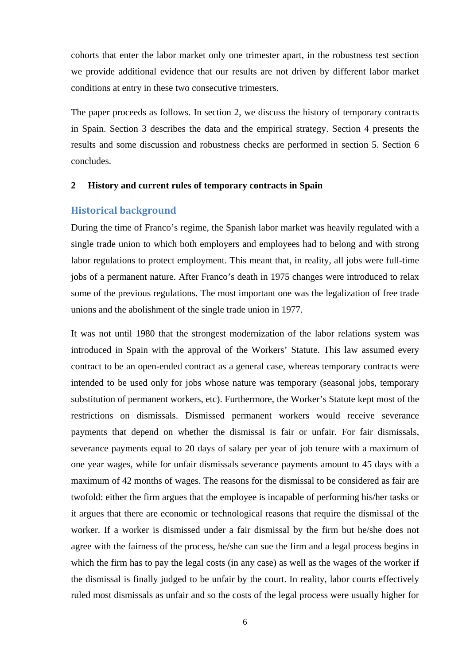cohorts that enter the labor market only one trimester apart, in the robustness test section we provide additional evidence that our results are not driven by different labor market conditions at entry in these two consecutive trimesters.

The paper proceeds as follows. In section 2, we discuss the history of temporary contracts in Spain. Section 3 describes the data and the empirical strategy. Section 4 presents the results and some discussion and robustness checks are performed in section 5. Section 6 concludes.

#### **2 History and current rules of temporary contracts in Spain**

#### **Historical background**

During the time of Franco's regime, the Spanish labor market was heavily regulated with a single trade union to which both employers and employees had to belong and with strong labor regulations to protect employment. This meant that, in reality, all jobs were full-time jobs of a permanent nature. After Franco's death in 1975 changes were introduced to relax some of the previous regulations. The most important one was the legalization of free trade unions and the abolishment of the single trade union in 1977.

It was not until 1980 that the strongest modernization of the labor relations system was introduced in Spain with the approval of the Workers' Statute. This law assumed every contract to be an open-ended contract as a general case, whereas temporary contracts were intended to be used only for jobs whose nature was temporary (seasonal jobs, temporary substitution of permanent workers, etc). Furthermore, the Worker's Statute kept most of the restrictions on dismissals. Dismissed permanent workers would receive severance payments that depend on whether the dismissal is fair or unfair. For fair dismissals, severance payments equal to 20 days of salary per year of job tenure with a maximum of one year wages, while for unfair dismissals severance payments amount to 45 days with a maximum of 42 months of wages. The reasons for the dismissal to be considered as fair are twofold: either the firm argues that the employee is incapable of performing his/her tasks or it argues that there are economic or technological reasons that require the dismissal of the worker. If a worker is dismissed under a fair dismissal by the firm but he/she does not agree with the fairness of the process, he/she can sue the firm and a legal process begins in which the firm has to pay the legal costs (in any case) as well as the wages of the worker if the dismissal is finally judged to be unfair by the court. In reality, labor courts effectively ruled most dismissals as unfair and so the costs of the legal process were usually higher for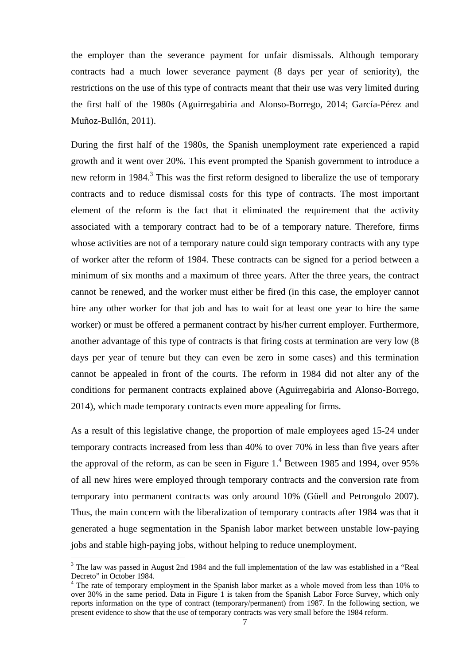the employer than the severance payment for unfair dismissals. Although temporary contracts had a much lower severance payment (8 days per year of seniority), the restrictions on the use of this type of contracts meant that their use was very limited during the first half of the 1980s (Aguirregabiria and Alonso-Borrego, 2014; García-Pérez and Muñoz-Bullón, 2011).

During the first half of the 1980s, the Spanish unemployment rate experienced a rapid growth and it went over 20%. This event prompted the Spanish government to introduce a new reform in 1984.<sup>3</sup> This was the first reform designed to liberalize the use of temporary contracts and to reduce dismissal costs for this type of contracts. The most important element of the reform is the fact that it eliminated the requirement that the activity associated with a temporary contract had to be of a temporary nature. Therefore, firms whose activities are not of a temporary nature could sign temporary contracts with any type of worker after the reform of 1984. These contracts can be signed for a period between a minimum of six months and a maximum of three years. After the three years, the contract cannot be renewed, and the worker must either be fired (in this case, the employer cannot hire any other worker for that job and has to wait for at least one year to hire the same worker) or must be offered a permanent contract by his/her current employer. Furthermore, another advantage of this type of contracts is that firing costs at termination are very low (8 days per year of tenure but they can even be zero in some cases) and this termination cannot be appealed in front of the courts. The reform in 1984 did not alter any of the conditions for permanent contracts explained above (Aguirregabiria and Alonso-Borrego, 2014), which made temporary contracts even more appealing for firms.

As a result of this legislative change, the proportion of male employees aged 15-24 under temporary contracts increased from less than 40% to over 70% in less than five years after the approval of the reform, as can be seen in Figure  $1<sup>4</sup>$  Between 1985 and 1994, over 95% of all new hires were employed through temporary contracts and the conversion rate from temporary into permanent contracts was only around 10% (Güell and Petrongolo 2007). Thus, the main concern with the liberalization of temporary contracts after 1984 was that it generated a huge segmentation in the Spanish labor market between unstable low-paying jobs and stable high-paying jobs, without helping to reduce unemployment.

1

<sup>&</sup>lt;sup>3</sup> The law was passed in August 2nd 1984 and the full implementation of the law was established in a "Real Decreto" in October 1984.

<sup>&</sup>lt;sup>4</sup> The rate of temporary employment in the Spanish labor market as a whole moved from less than 10% to over 30% in the same period. Data in Figure 1 is taken from the Spanish Labor Force Survey, which only reports information on the type of contract (temporary/permanent) from 1987. In the following section, we present evidence to show that the use of temporary contracts was very small before the 1984 reform.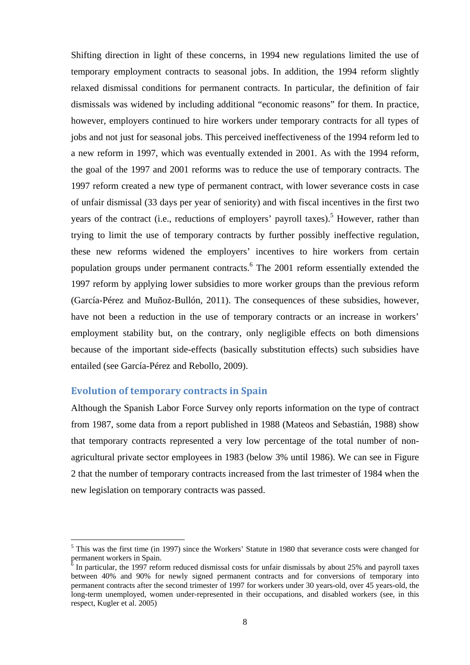Shifting direction in light of these concerns, in 1994 new regulations limited the use of temporary employment contracts to seasonal jobs. In addition, the 1994 reform slightly relaxed dismissal conditions for permanent contracts. In particular, the definition of fair dismissals was widened by including additional "economic reasons" for them. In practice, however, employers continued to hire workers under temporary contracts for all types of jobs and not just for seasonal jobs. This perceived ineffectiveness of the 1994 reform led to a new reform in 1997, which was eventually extended in 2001. As with the 1994 reform, the goal of the 1997 and 2001 reforms was to reduce the use of temporary contracts. The 1997 reform created a new type of permanent contract, with lower severance costs in case of unfair dismissal (33 days per year of seniority) and with fiscal incentives in the first two years of the contract (i.e., reductions of employers' payroll taxes).<sup>5</sup> However, rather than trying to limit the use of temporary contracts by further possibly ineffective regulation, these new reforms widened the employers' incentives to hire workers from certain population groups under permanent contracts.<sup>6</sup> The 2001 reform essentially extended the 1997 reform by applying lower subsidies to more worker groups than the previous reform (García-Pérez and Muñoz-Bullón, 2011). The consequences of these subsidies, however, have not been a reduction in the use of temporary contracts or an increase in workers' employment stability but, on the contrary, only negligible effects on both dimensions because of the important side-effects (basically substitution effects) such subsidies have entailed (see García-Pérez and Rebollo, 2009).

#### **Evolution of temporary contracts in Spain**

<u>.</u>

Although the Spanish Labor Force Survey only reports information on the type of contract from 1987, some data from a report published in 1988 (Mateos and Sebastián, 1988) show that temporary contracts represented a very low percentage of the total number of nonagricultural private sector employees in 1983 (below 3% until 1986). We can see in Figure 2 that the number of temporary contracts increased from the last trimester of 1984 when the new legislation on temporary contracts was passed.

<sup>&</sup>lt;sup>5</sup> This was the first time (in 1997) since the Workers' Statute in 1980 that severance costs were changed for permanent workers in Spain.<br><sup>6</sup> In perticular, the 1007 refer

In particular, the 1997 reform reduced dismissal costs for unfair dismissals by about 25% and payroll taxes between 40% and 90% for newly signed permanent contracts and for conversions of temporary into permanent contracts after the second trimester of 1997 for workers under 30 years-old, over 45 years-old, the long-term unemployed, women under-represented in their occupations, and disabled workers (see, in this respect, Kugler et al. 2005)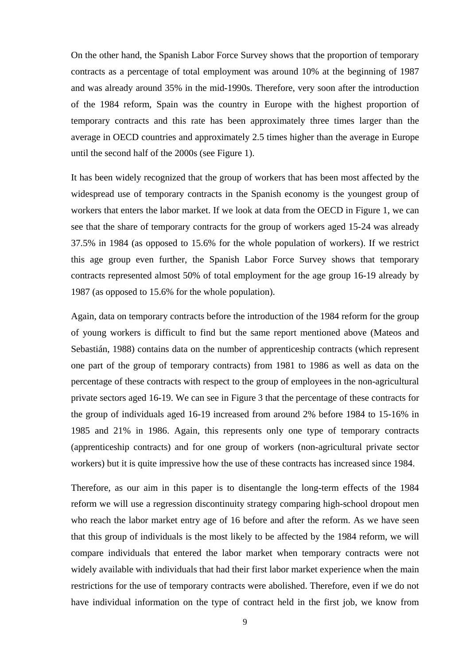On the other hand, the Spanish Labor Force Survey shows that the proportion of temporary contracts as a percentage of total employment was around 10% at the beginning of 1987 and was already around 35% in the mid-1990s. Therefore, very soon after the introduction of the 1984 reform, Spain was the country in Europe with the highest proportion of temporary contracts and this rate has been approximately three times larger than the average in OECD countries and approximately 2.5 times higher than the average in Europe until the second half of the 2000s (see Figure 1).

It has been widely recognized that the group of workers that has been most affected by the widespread use of temporary contracts in the Spanish economy is the youngest group of workers that enters the labor market. If we look at data from the OECD in Figure 1, we can see that the share of temporary contracts for the group of workers aged 15-24 was already 37.5% in 1984 (as opposed to 15.6% for the whole population of workers). If we restrict this age group even further, the Spanish Labor Force Survey shows that temporary contracts represented almost 50% of total employment for the age group 16-19 already by 1987 (as opposed to 15.6% for the whole population).

Again, data on temporary contracts before the introduction of the 1984 reform for the group of young workers is difficult to find but the same report mentioned above (Mateos and Sebastián, 1988) contains data on the number of apprenticeship contracts (which represent one part of the group of temporary contracts) from 1981 to 1986 as well as data on the percentage of these contracts with respect to the group of employees in the non-agricultural private sectors aged 16-19. We can see in Figure 3 that the percentage of these contracts for the group of individuals aged 16-19 increased from around 2% before 1984 to 15-16% in 1985 and 21% in 1986. Again, this represents only one type of temporary contracts (apprenticeship contracts) and for one group of workers (non-agricultural private sector workers) but it is quite impressive how the use of these contracts has increased since 1984.

Therefore, as our aim in this paper is to disentangle the long-term effects of the 1984 reform we will use a regression discontinuity strategy comparing high-school dropout men who reach the labor market entry age of 16 before and after the reform. As we have seen that this group of individuals is the most likely to be affected by the 1984 reform, we will compare individuals that entered the labor market when temporary contracts were not widely available with individuals that had their first labor market experience when the main restrictions for the use of temporary contracts were abolished. Therefore, even if we do not have individual information on the type of contract held in the first job, we know from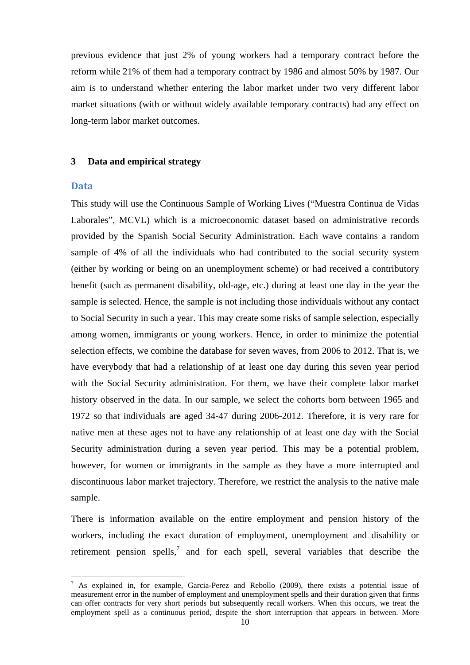previous evidence that just 2% of young workers had a temporary contract before the reform while 21% of them had a temporary contract by 1986 and almost 50% by 1987. Our aim is to understand whether entering the labor market under two very different labor market situations (with or without widely available temporary contracts) had any effect on long-term labor market outcomes.

#### **3 Data and empirical strategy**

#### **Data**

1

This study will use the Continuous Sample of Working Lives ("Muestra Continua de Vidas Laborales", MCVL) which is a microeconomic dataset based on administrative records provided by the Spanish Social Security Administration. Each wave contains a random sample of 4% of all the individuals who had contributed to the social security system (either by working or being on an unemployment scheme) or had received a contributory benefit (such as permanent disability, old-age, etc.) during at least one day in the year the sample is selected. Hence, the sample is not including those individuals without any contact to Social Security in such a year. This may create some risks of sample selection, especially among women, immigrants or young workers. Hence, in order to minimize the potential selection effects, we combine the database for seven waves, from 2006 to 2012. That is, we have everybody that had a relationship of at least one day during this seven year period with the Social Security administration. For them, we have their complete labor market history observed in the data. In our sample, we select the cohorts born between 1965 and 1972 so that individuals are aged 34-47 during 2006-2012. Therefore, it is very rare for native men at these ages not to have any relationship of at least one day with the Social Security administration during a seven year period. This may be a potential problem, however, for women or immigrants in the sample as they have a more interrupted and discontinuous labor market trajectory. Therefore, we restrict the analysis to the native male sample.

There is information available on the entire employment and pension history of the workers, including the exact duration of employment, unemployment and disability or retirement pension spells,<sup>7</sup> and for each spell, several variables that describe the

<sup>&</sup>lt;sup>7</sup> As explained in, for example, Garcia-Perez and Rebollo (2009), there exists a potential issue of measurement error in the number of employment and unemployment spells and their duration given that firms can offer contracts for very short periods but subsequently recall workers. When this occurs, we treat the employment spell as a continuous period, despite the short interruption that appears in between. More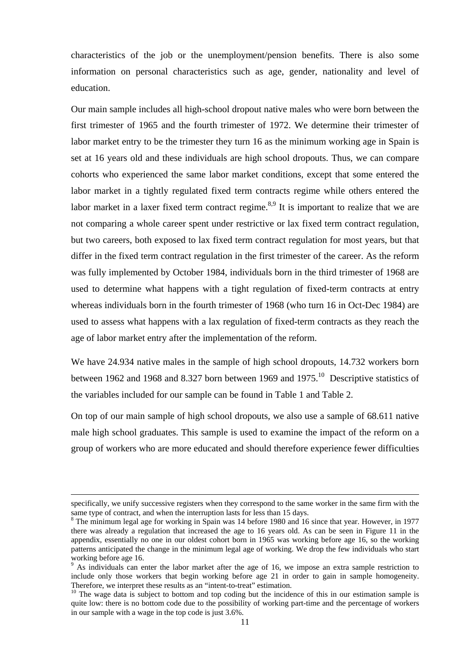characteristics of the job or the unemployment/pension benefits. There is also some information on personal characteristics such as age, gender, nationality and level of education.

Our main sample includes all high-school dropout native males who were born between the first trimester of 1965 and the fourth trimester of 1972. We determine their trimester of labor market entry to be the trimester they turn 16 as the minimum working age in Spain is set at 16 years old and these individuals are high school dropouts. Thus, we can compare cohorts who experienced the same labor market conditions, except that some entered the labor market in a tightly regulated fixed term contracts regime while others entered the labor market in a laxer fixed term contract regime. $8.9$  It is important to realize that we are not comparing a whole career spent under restrictive or lax fixed term contract regulation, but two careers, both exposed to lax fixed term contract regulation for most years, but that differ in the fixed term contract regulation in the first trimester of the career. As the reform was fully implemented by October 1984, individuals born in the third trimester of 1968 are used to determine what happens with a tight regulation of fixed-term contracts at entry whereas individuals born in the fourth trimester of 1968 (who turn 16 in Oct-Dec 1984) are used to assess what happens with a lax regulation of fixed-term contracts as they reach the age of labor market entry after the implementation of the reform.

We have 24.934 native males in the sample of high school dropouts, 14.732 workers born between 1962 and 1968 and 8.327 born between 1969 and 1975.<sup>10</sup> Descriptive statistics of the variables included for our sample can be found in Table 1 and Table 2.

On top of our main sample of high school dropouts, we also use a sample of 68.611 native male high school graduates. This sample is used to examine the impact of the reform on a group of workers who are more educated and should therefore experience fewer difficulties

specifically, we unify successive registers when they correspond to the same worker in the same firm with the same type of contract, and when the interruption lasts for less than 15 days.

<sup>&</sup>lt;sup>8</sup> The minimum legal age for working in Spain was 14 before 1980 and 16 since that year. However, in 1977 there was already a regulation that increased the age to 16 years old. As can be seen in Figure 11 in the appendix, essentially no one in our oldest cohort born in 1965 was working before age 16, so the working patterns anticipated the change in the minimum legal age of working. We drop the few individuals who start working before age 16.

<sup>&</sup>lt;sup>9</sup> As individuals can enter the labor market after the age of 16, we impose an extra sample restriction to include only those workers that begin working before age 21 in order to gain in sample homogeneity.<br>Therefore, we interpret these results as an "intent-to-treat" estimation.

<sup>&</sup>lt;sup>10</sup> The wage data is subject to bottom and top coding but the incidence of this in our estimation sample is quite low: there is no bottom code due to the possibility of working part-time and the percentage of workers in our sample with a wage in the top code is just 3.6%.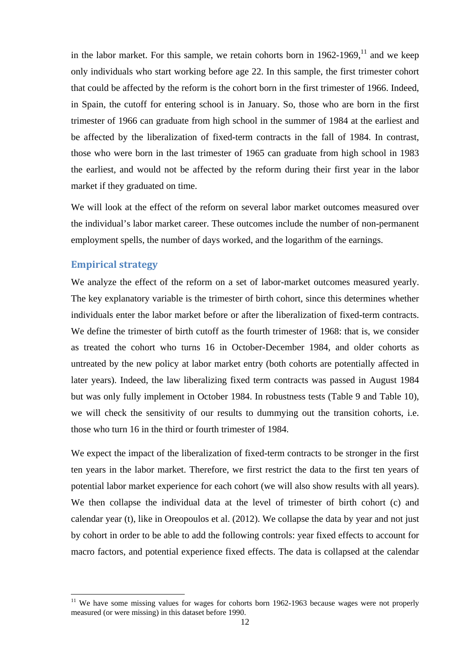in the labor market. For this sample, we retain cohorts born in  $1962-1969$ ,  $11$  and we keep only individuals who start working before age 22. In this sample, the first trimester cohort that could be affected by the reform is the cohort born in the first trimester of 1966. Indeed, in Spain, the cutoff for entering school is in January. So, those who are born in the first trimester of 1966 can graduate from high school in the summer of 1984 at the earliest and be affected by the liberalization of fixed-term contracts in the fall of 1984. In contrast, those who were born in the last trimester of 1965 can graduate from high school in 1983 the earliest, and would not be affected by the reform during their first year in the labor market if they graduated on time.

We will look at the effect of the reform on several labor market outcomes measured over the individual's labor market career. These outcomes include the number of non-permanent employment spells, the number of days worked, and the logarithm of the earnings.

#### **Empirical strategy**

<u>.</u>

We analyze the effect of the reform on a set of labor-market outcomes measured yearly. The key explanatory variable is the trimester of birth cohort, since this determines whether individuals enter the labor market before or after the liberalization of fixed-term contracts. We define the trimester of birth cutoff as the fourth trimester of 1968: that is, we consider as treated the cohort who turns 16 in October-December 1984, and older cohorts as untreated by the new policy at labor market entry (both cohorts are potentially affected in later years). Indeed, the law liberalizing fixed term contracts was passed in August 1984 but was only fully implement in October 1984. In robustness tests (Table 9 and Table 10), we will check the sensitivity of our results to dummying out the transition cohorts, i.e. those who turn 16 in the third or fourth trimester of 1984.

We expect the impact of the liberalization of fixed-term contracts to be stronger in the first ten years in the labor market. Therefore, we first restrict the data to the first ten years of potential labor market experience for each cohort (we will also show results with all years). We then collapse the individual data at the level of trimester of birth cohort (c) and calendar year (t), like in Oreopoulos et al. (2012). We collapse the data by year and not just by cohort in order to be able to add the following controls: year fixed effects to account for macro factors, and potential experience fixed effects. The data is collapsed at the calendar

 $11$  We have some missing values for wages for cohorts born 1962-1963 because wages were not properly measured (or were missing) in this dataset before 1990.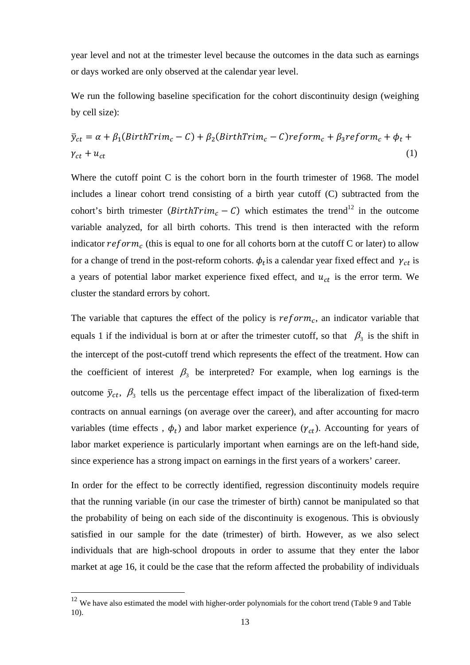year level and not at the trimester level because the outcomes in the data such as earnings or days worked are only observed at the calendar year level.

We run the following baseline specification for the cohort discontinuity design (weighing by cell size):

$$
\bar{y}_{ct} = \alpha + \beta_1 (BirthTrim_c - C) + \beta_2 (BirthTrim_c - C)reform_c + \beta_3 reform_c + \phi_t + \gamma_{ct} + u_{ct}
$$
\n(1)

Where the cutoff point C is the cohort born in the fourth trimester of 1968. The model includes a linear cohort trend consisting of a birth year cutoff (C) subtracted from the cohort's birth trimester ( $BirthTrim_c - C$ ) which estimates the trend<sup>12</sup> in the outcome variable analyzed, for all birth cohorts. This trend is then interacted with the reform indicator  $reform_c$  (this is equal to one for all cohorts born at the cutoff C or later) to allow for a change of trend in the post-reform cohorts.  $\phi_t$  is a calendar year fixed effect and  $\gamma_{ct}$  is a years of potential labor market experience fixed effect, and  $u_{ct}$  is the error term. We cluster the standard errors by cohort.

The variable that captures the effect of the policy is  $reform_c$ , an indicator variable that equals 1 if the individual is born at or after the trimester cutoff, so that  $\beta_3$  is the shift in the intercept of the post-cutoff trend which represents the effect of the treatment. How can the coefficient of interest  $\beta_3$  be interpreted? For example, when log earnings is the outcome  $\bar{y}_{ct}$ ,  $\beta_3$  tells us the percentage effect impact of the liberalization of fixed-term contracts on annual earnings (on average over the career), and after accounting for macro variables (time effects,  $\phi_t$ ) and labor market experience ( $\gamma_{ct}$ ). Accounting for years of labor market experience is particularly important when earnings are on the left-hand side, since experience has a strong impact on earnings in the first years of a workers' career.

In order for the effect to be correctly identified, regression discontinuity models require that the running variable (in our case the trimester of birth) cannot be manipulated so that the probability of being on each side of the discontinuity is exogenous. This is obviously satisfied in our sample for the date (trimester) of birth. However, as we also select individuals that are high-school dropouts in order to assume that they enter the labor market at age 16, it could be the case that the reform affected the probability of individuals

<u>.</u>

 $12$  We have also estimated the model with higher-order polynomials for the cohort trend (Table 9 and Table 10).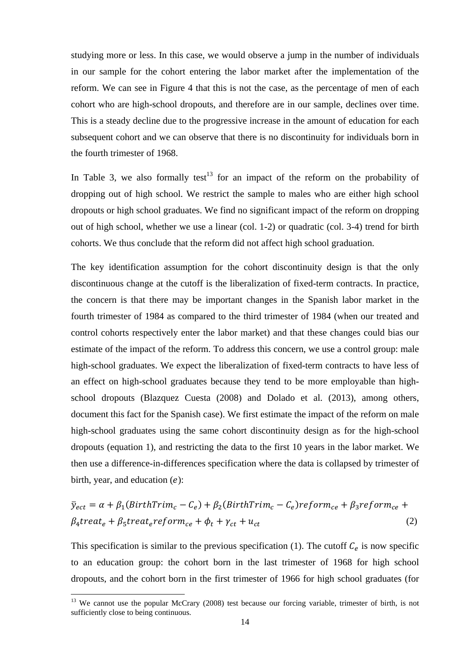studying more or less. In this case, we would observe a jump in the number of individuals in our sample for the cohort entering the labor market after the implementation of the reform. We can see in Figure 4 that this is not the case, as the percentage of men of each cohort who are high-school dropouts, and therefore are in our sample, declines over time. This is a steady decline due to the progressive increase in the amount of education for each subsequent cohort and we can observe that there is no discontinuity for individuals born in the fourth trimester of 1968.

In Table 3, we also formally test<sup>13</sup> for an impact of the reform on the probability of dropping out of high school. We restrict the sample to males who are either high school dropouts or high school graduates. We find no significant impact of the reform on dropping out of high school, whether we use a linear (col. 1-2) or quadratic (col. 3-4) trend for birth cohorts. We thus conclude that the reform did not affect high school graduation.

The key identification assumption for the cohort discontinuity design is that the only discontinuous change at the cutoff is the liberalization of fixed-term contracts. In practice, the concern is that there may be important changes in the Spanish labor market in the fourth trimester of 1984 as compared to the third trimester of 1984 (when our treated and control cohorts respectively enter the labor market) and that these changes could bias our estimate of the impact of the reform. To address this concern, we use a control group: male high-school graduates. We expect the liberalization of fixed-term contracts to have less of an effect on high-school graduates because they tend to be more employable than highschool dropouts (Blazquez Cuesta (2008) and Dolado et al. (2013), among others, document this fact for the Spanish case). We first estimate the impact of the reform on male high-school graduates using the same cohort discontinuity design as for the high-school dropouts (equation 1), and restricting the data to the first 10 years in the labor market. We then use a difference-in-differences specification where the data is collapsed by trimester of birth, year, and education  $(e)$ :

$$
\bar{y}_{ect} = \alpha + \beta_1 (BirthTrim_c - C_e) + \beta_2 (BirthTrim_c - C_e) \text{reform}_{ce} + \beta_3 \text{reform}_{ce} + \beta_4 \text{treat}_e + \beta_5 \text{treat}_e \text{reform}_{ce} + \phi_t + \gamma_{ct} + u_{ct}
$$
\n
$$
(2)
$$

This specification is similar to the previous specification (1). The cutoff  $C_e$  is now specific to an education group: the cohort born in the last trimester of 1968 for high school dropouts, and the cohort born in the first trimester of 1966 for high school graduates (for

<u>.</u>

<sup>&</sup>lt;sup>13</sup> We cannot use the popular McCrary (2008) test because our forcing variable, trimester of birth, is not sufficiently close to being continuous.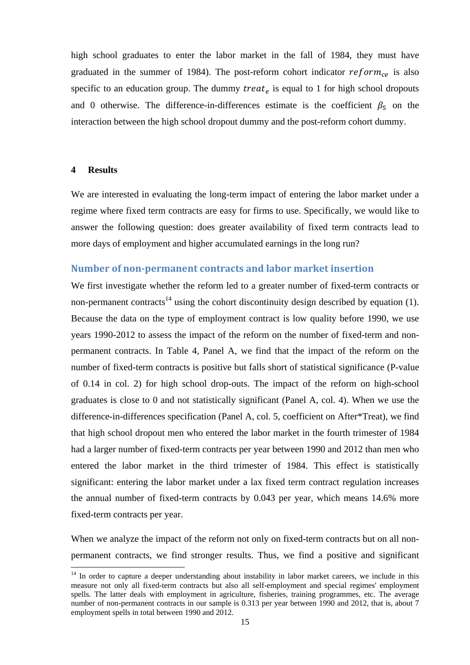high school graduates to enter the labor market in the fall of 1984, they must have graduated in the summer of 1984). The post-reform cohort indicator  $reform_{ce}$  is also specific to an education group. The dummy  $treat_e$  is equal to 1 for high school dropouts and 0 otherwise. The difference-in-differences estimate is the coefficient  $\beta_5$  on the interaction between the high school dropout dummy and the post-reform cohort dummy.

#### **4 Results**

<u>.</u>

We are interested in evaluating the long-term impact of entering the labor market under a regime where fixed term contracts are easy for firms to use. Specifically, we would like to answer the following question: does greater availability of fixed term contracts lead to more days of employment and higher accumulated earnings in the long run?

#### **Number of non‐permanent contracts and labor market insertion**

We first investigate whether the reform led to a greater number of fixed-term contracts or non-permanent contracts<sup>14</sup> using the cohort discontinuity design described by equation (1). Because the data on the type of employment contract is low quality before 1990, we use years 1990-2012 to assess the impact of the reform on the number of fixed-term and nonpermanent contracts. In Table 4, Panel A, we find that the impact of the reform on the number of fixed-term contracts is positive but falls short of statistical significance (P-value of 0.14 in col. 2) for high school drop-outs. The impact of the reform on high-school graduates is close to 0 and not statistically significant (Panel A, col. 4). When we use the difference-in-differences specification (Panel A, col. 5, coefficient on After\*Treat), we find that high school dropout men who entered the labor market in the fourth trimester of 1984 had a larger number of fixed-term contracts per year between 1990 and 2012 than men who entered the labor market in the third trimester of 1984. This effect is statistically significant: entering the labor market under a lax fixed term contract regulation increases the annual number of fixed-term contracts by 0.043 per year, which means 14.6% more fixed-term contracts per year.

When we analyze the impact of the reform not only on fixed-term contracts but on all nonpermanent contracts, we find stronger results. Thus, we find a positive and significant

<sup>&</sup>lt;sup>14</sup> In order to capture a deeper understanding about instability in labor market careers, we include in this measure not only all fixed-term contracts but also all self-employment and special regimes' employment spells. The latter deals with employment in agriculture, fisheries, training programmes, etc. The average number of non-permanent contracts in our sample is 0.313 per year between 1990 and 2012, that is, about 7 employment spells in total between 1990 and 2012.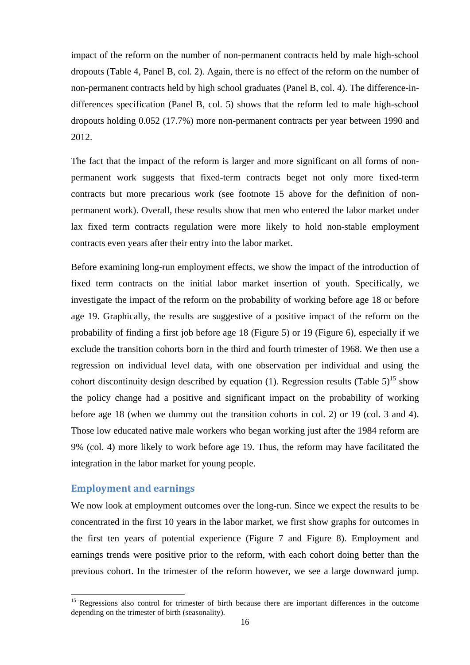impact of the reform on the number of non-permanent contracts held by male high-school dropouts (Table 4, Panel B, col. 2). Again, there is no effect of the reform on the number of non-permanent contracts held by high school graduates (Panel B, col. 4). The difference-indifferences specification (Panel B, col. 5) shows that the reform led to male high-school dropouts holding 0.052 (17.7%) more non-permanent contracts per year between 1990 and 2012.

The fact that the impact of the reform is larger and more significant on all forms of nonpermanent work suggests that fixed-term contracts beget not only more fixed-term contracts but more precarious work (see footnote 15 above for the definition of nonpermanent work). Overall, these results show that men who entered the labor market under lax fixed term contracts regulation were more likely to hold non-stable employment contracts even years after their entry into the labor market.

Before examining long-run employment effects, we show the impact of the introduction of fixed term contracts on the initial labor market insertion of youth. Specifically, we investigate the impact of the reform on the probability of working before age 18 or before age 19. Graphically, the results are suggestive of a positive impact of the reform on the probability of finding a first job before age 18 (Figure 5) or 19 (Figure 6), especially if we exclude the transition cohorts born in the third and fourth trimester of 1968. We then use a regression on individual level data, with one observation per individual and using the cohort discontinuity design described by equation (1). Regression results (Table  $5$ )<sup>15</sup> show the policy change had a positive and significant impact on the probability of working before age 18 (when we dummy out the transition cohorts in col. 2) or 19 (col. 3 and 4). Those low educated native male workers who began working just after the 1984 reform are 9% (col. 4) more likely to work before age 19. Thus, the reform may have facilitated the integration in the labor market for young people.

#### **Employment and earnings**

<u>.</u>

We now look at employment outcomes over the long-run. Since we expect the results to be concentrated in the first 10 years in the labor market, we first show graphs for outcomes in the first ten years of potential experience (Figure 7 and Figure 8). Employment and earnings trends were positive prior to the reform, with each cohort doing better than the previous cohort. In the trimester of the reform however, we see a large downward jump.

<sup>&</sup>lt;sup>15</sup> Regressions also control for trimester of birth because there are important differences in the outcome depending on the trimester of birth (seasonality).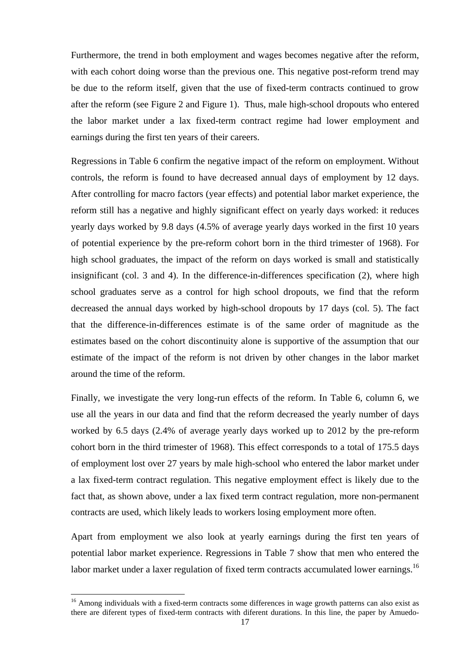Furthermore, the trend in both employment and wages becomes negative after the reform, with each cohort doing worse than the previous one. This negative post-reform trend may be due to the reform itself, given that the use of fixed-term contracts continued to grow after the reform (see Figure 2 and Figure 1). Thus, male high-school dropouts who entered the labor market under a lax fixed-term contract regime had lower employment and earnings during the first ten years of their careers.

Regressions in Table 6 confirm the negative impact of the reform on employment. Without controls, the reform is found to have decreased annual days of employment by 12 days. After controlling for macro factors (year effects) and potential labor market experience, the reform still has a negative and highly significant effect on yearly days worked: it reduces yearly days worked by 9.8 days (4.5% of average yearly days worked in the first 10 years of potential experience by the pre-reform cohort born in the third trimester of 1968). For high school graduates, the impact of the reform on days worked is small and statistically insignificant (col. 3 and 4). In the difference-in-differences specification (2), where high school graduates serve as a control for high school dropouts, we find that the reform decreased the annual days worked by high-school dropouts by 17 days (col. 5). The fact that the difference-in-differences estimate is of the same order of magnitude as the estimates based on the cohort discontinuity alone is supportive of the assumption that our estimate of the impact of the reform is not driven by other changes in the labor market around the time of the reform.

Finally, we investigate the very long-run effects of the reform. In Table 6, column 6, we use all the years in our data and find that the reform decreased the yearly number of days worked by 6.5 days (2.4% of average yearly days worked up to 2012 by the pre-reform cohort born in the third trimester of 1968). This effect corresponds to a total of 175.5 days of employment lost over 27 years by male high-school who entered the labor market under a lax fixed-term contract regulation. This negative employment effect is likely due to the fact that, as shown above, under a lax fixed term contract regulation, more non-permanent contracts are used, which likely leads to workers losing employment more often.

Apart from employment we also look at yearly earnings during the first ten years of potential labor market experience. Regressions in Table 7 show that men who entered the labor market under a laxer regulation of fixed term contracts accumulated lower earnings.<sup>16</sup>

<u>.</u>

<sup>&</sup>lt;sup>16</sup> Among individuals with a fixed-term contracts some differences in wage growth patterns can also exist as there are diferent types of fixed-term contracts with diferent durations. In this line, the paper by Amuedo-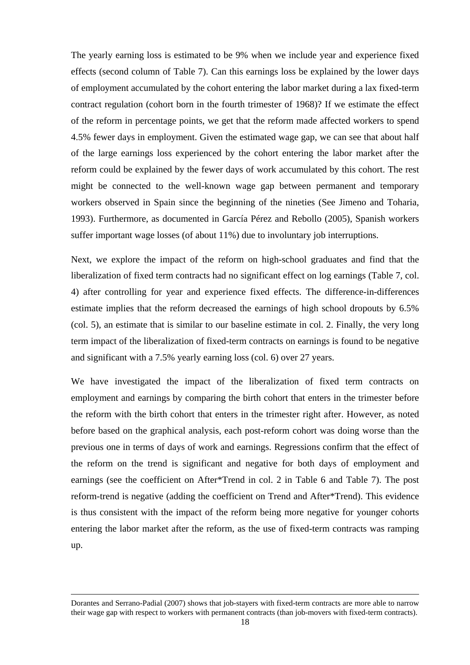The yearly earning loss is estimated to be 9% when we include year and experience fixed effects (second column of Table 7). Can this earnings loss be explained by the lower days of employment accumulated by the cohort entering the labor market during a lax fixed-term contract regulation (cohort born in the fourth trimester of 1968)? If we estimate the effect of the reform in percentage points, we get that the reform made affected workers to spend 4.5% fewer days in employment. Given the estimated wage gap, we can see that about half of the large earnings loss experienced by the cohort entering the labor market after the reform could be explained by the fewer days of work accumulated by this cohort. The rest might be connected to the well-known wage gap between permanent and temporary workers observed in Spain since the beginning of the nineties (See Jimeno and Toharia, 1993). Furthermore, as documented in García Pérez and Rebollo (2005), Spanish workers suffer important wage losses (of about 11%) due to involuntary job interruptions.

Next, we explore the impact of the reform on high-school graduates and find that the liberalization of fixed term contracts had no significant effect on log earnings (Table 7, col. 4) after controlling for year and experience fixed effects. The difference-in-differences estimate implies that the reform decreased the earnings of high school dropouts by 6.5% (col. 5), an estimate that is similar to our baseline estimate in col. 2. Finally, the very long term impact of the liberalization of fixed-term contracts on earnings is found to be negative and significant with a 7.5% yearly earning loss (col. 6) over 27 years.

We have investigated the impact of the liberalization of fixed term contracts on employment and earnings by comparing the birth cohort that enters in the trimester before the reform with the birth cohort that enters in the trimester right after. However, as noted before based on the graphical analysis, each post-reform cohort was doing worse than the previous one in terms of days of work and earnings. Regressions confirm that the effect of the reform on the trend is significant and negative for both days of employment and earnings (see the coefficient on After\*Trend in col. 2 in Table 6 and Table 7). The post reform-trend is negative (adding the coefficient on Trend and After\*Trend). This evidence is thus consistent with the impact of the reform being more negative for younger cohorts entering the labor market after the reform, as the use of fixed-term contracts was ramping up.

Dorantes and Serrano-Padial (2007) shows that job-stayers with fixed-term contracts are more able to narrow their wage gap with respect to workers with permanent contracts (than job-movers with fixed-term contracts).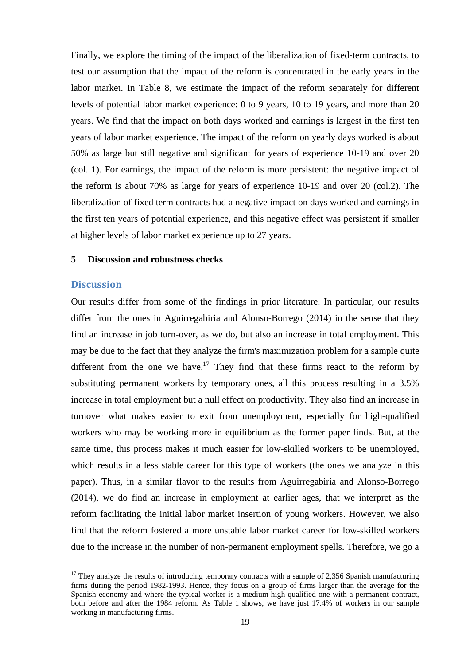Finally, we explore the timing of the impact of the liberalization of fixed-term contracts, to test our assumption that the impact of the reform is concentrated in the early years in the labor market. In Table 8, we estimate the impact of the reform separately for different levels of potential labor market experience: 0 to 9 years, 10 to 19 years, and more than 20 years. We find that the impact on both days worked and earnings is largest in the first ten years of labor market experience. The impact of the reform on yearly days worked is about 50% as large but still negative and significant for years of experience 10-19 and over 20 (col. 1). For earnings, the impact of the reform is more persistent: the negative impact of the reform is about 70% as large for years of experience 10-19 and over 20 (col.2). The liberalization of fixed term contracts had a negative impact on days worked and earnings in the first ten years of potential experience, and this negative effect was persistent if smaller at higher levels of labor market experience up to 27 years.

#### **5 Discussion and robustness checks**

#### **Discussion**

<u>.</u>

Our results differ from some of the findings in prior literature. In particular, our results differ from the ones in Aguirregabiria and Alonso-Borrego (2014) in the sense that they find an increase in job turn-over, as we do, but also an increase in total employment. This may be due to the fact that they analyze the firm's maximization problem for a sample quite different from the one we have.<sup>17</sup> They find that these firms react to the reform by substituting permanent workers by temporary ones, all this process resulting in a 3.5% increase in total employment but a null effect on productivity. They also find an increase in turnover what makes easier to exit from unemployment, especially for high-qualified workers who may be working more in equilibrium as the former paper finds. But, at the same time, this process makes it much easier for low-skilled workers to be unemployed, which results in a less stable career for this type of workers (the ones we analyze in this paper). Thus, in a similar flavor to the results from Aguirregabiria and Alonso-Borrego (2014), we do find an increase in employment at earlier ages, that we interpret as the reform facilitating the initial labor market insertion of young workers. However, we also find that the reform fostered a more unstable labor market career for low-skilled workers due to the increase in the number of non-permanent employment spells. Therefore, we go a

 $17$  They analyze the results of introducing temporary contracts with a sample of 2,356 Spanish manufacturing firms during the period 1982-1993. Hence, they focus on a group of firms larger than the average for the Spanish economy and where the typical worker is a medium-high qualified one with a permanent contract, both before and after the 1984 reform. As Table 1 shows, we have just 17.4% of workers in our sample working in manufacturing firms.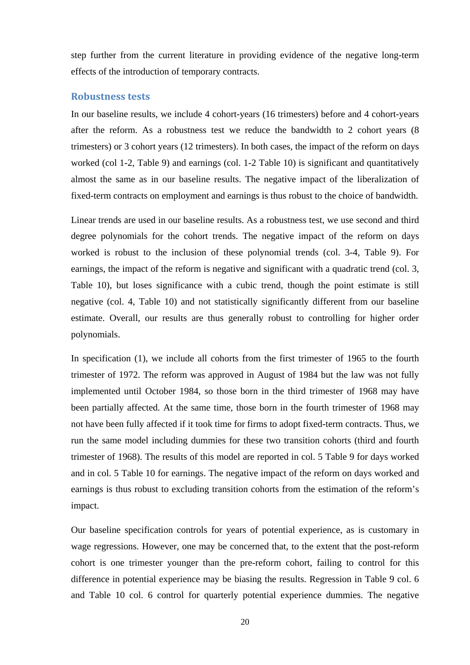step further from the current literature in providing evidence of the negative long-term effects of the introduction of temporary contracts.

#### **Robustness tests**

In our baseline results, we include 4 cohort-years (16 trimesters) before and 4 cohort-years after the reform. As a robustness test we reduce the bandwidth to 2 cohort years (8 trimesters) or 3 cohort years (12 trimesters). In both cases, the impact of the reform on days worked (col 1-2, Table 9) and earnings (col. 1-2 Table 10) is significant and quantitatively almost the same as in our baseline results. The negative impact of the liberalization of fixed-term contracts on employment and earnings is thus robust to the choice of bandwidth.

Linear trends are used in our baseline results. As a robustness test, we use second and third degree polynomials for the cohort trends. The negative impact of the reform on days worked is robust to the inclusion of these polynomial trends (col. 3-4, Table 9). For earnings, the impact of the reform is negative and significant with a quadratic trend (col. 3, Table 10), but loses significance with a cubic trend, though the point estimate is still negative (col. 4, Table 10) and not statistically significantly different from our baseline estimate. Overall, our results are thus generally robust to controlling for higher order polynomials.

In specification (1), we include all cohorts from the first trimester of 1965 to the fourth trimester of 1972. The reform was approved in August of 1984 but the law was not fully implemented until October 1984, so those born in the third trimester of 1968 may have been partially affected. At the same time, those born in the fourth trimester of 1968 may not have been fully affected if it took time for firms to adopt fixed-term contracts. Thus, we run the same model including dummies for these two transition cohorts (third and fourth trimester of 1968). The results of this model are reported in col. 5 Table 9 for days worked and in col. 5 Table 10 for earnings. The negative impact of the reform on days worked and earnings is thus robust to excluding transition cohorts from the estimation of the reform's impact.

Our baseline specification controls for years of potential experience, as is customary in wage regressions. However, one may be concerned that, to the extent that the post-reform cohort is one trimester younger than the pre-reform cohort, failing to control for this difference in potential experience may be biasing the results. Regression in Table 9 col. 6 and Table 10 col. 6 control for quarterly potential experience dummies. The negative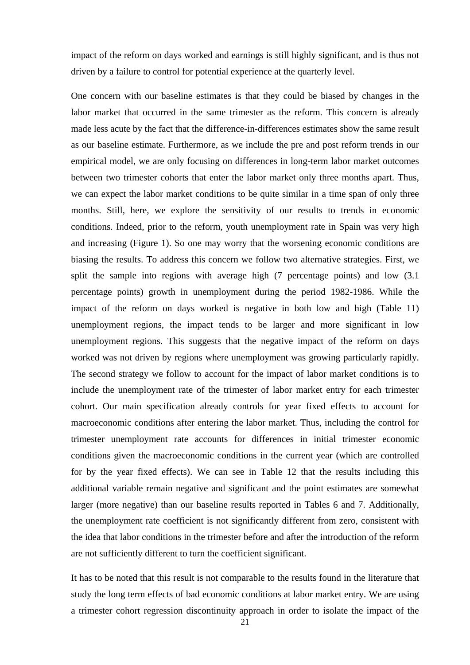impact of the reform on days worked and earnings is still highly significant, and is thus not driven by a failure to control for potential experience at the quarterly level.

One concern with our baseline estimates is that they could be biased by changes in the labor market that occurred in the same trimester as the reform. This concern is already made less acute by the fact that the difference-in-differences estimates show the same result as our baseline estimate. Furthermore, as we include the pre and post reform trends in our empirical model, we are only focusing on differences in long-term labor market outcomes between two trimester cohorts that enter the labor market only three months apart. Thus, we can expect the labor market conditions to be quite similar in a time span of only three months. Still, here, we explore the sensitivity of our results to trends in economic conditions. Indeed, prior to the reform, youth unemployment rate in Spain was very high and increasing (Figure 1). So one may worry that the worsening economic conditions are biasing the results. To address this concern we follow two alternative strategies. First, we split the sample into regions with average high (7 percentage points) and low  $(3.1)$ percentage points) growth in unemployment during the period 1982-1986. While the impact of the reform on days worked is negative in both low and high (Table 11) unemployment regions, the impact tends to be larger and more significant in low unemployment regions. This suggests that the negative impact of the reform on days worked was not driven by regions where unemployment was growing particularly rapidly. The second strategy we follow to account for the impact of labor market conditions is to include the unemployment rate of the trimester of labor market entry for each trimester cohort. Our main specification already controls for year fixed effects to account for macroeconomic conditions after entering the labor market. Thus, including the control for trimester unemployment rate accounts for differences in initial trimester economic conditions given the macroeconomic conditions in the current year (which are controlled for by the year fixed effects). We can see in Table 12 that the results including this additional variable remain negative and significant and the point estimates are somewhat larger (more negative) than our baseline results reported in Tables 6 and 7. Additionally, the unemployment rate coefficient is not significantly different from zero, consistent with the idea that labor conditions in the trimester before and after the introduction of the reform are not sufficiently different to turn the coefficient significant.

It has to be noted that this result is not comparable to the results found in the literature that study the long term effects of bad economic conditions at labor market entry. We are using a trimester cohort regression discontinuity approach in order to isolate the impact of the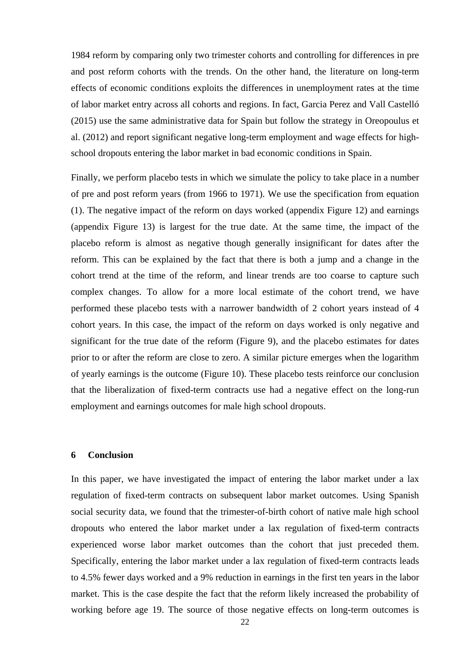1984 reform by comparing only two trimester cohorts and controlling for differences in pre and post reform cohorts with the trends. On the other hand, the literature on long-term effects of economic conditions exploits the differences in unemployment rates at the time of labor market entry across all cohorts and regions. In fact, Garcia Perez and Vall Castelló (2015) use the same administrative data for Spain but follow the strategy in Oreopoulus et al. (2012) and report significant negative long-term employment and wage effects for highschool dropouts entering the labor market in bad economic conditions in Spain.

Finally, we perform placebo tests in which we simulate the policy to take place in a number of pre and post reform years (from 1966 to 1971). We use the specification from equation (1). The negative impact of the reform on days worked (appendix Figure 12) and earnings (appendix Figure 13) is largest for the true date. At the same time, the impact of the placebo reform is almost as negative though generally insignificant for dates after the reform. This can be explained by the fact that there is both a jump and a change in the cohort trend at the time of the reform, and linear trends are too coarse to capture such complex changes. To allow for a more local estimate of the cohort trend, we have performed these placebo tests with a narrower bandwidth of 2 cohort years instead of 4 cohort years. In this case, the impact of the reform on days worked is only negative and significant for the true date of the reform (Figure 9), and the placebo estimates for dates prior to or after the reform are close to zero. A similar picture emerges when the logarithm of yearly earnings is the outcome (Figure 10). These placebo tests reinforce our conclusion that the liberalization of fixed-term contracts use had a negative effect on the long-run employment and earnings outcomes for male high school dropouts.

#### **6 Conclusion**

In this paper, we have investigated the impact of entering the labor market under a lax regulation of fixed-term contracts on subsequent labor market outcomes. Using Spanish social security data, we found that the trimester-of-birth cohort of native male high school dropouts who entered the labor market under a lax regulation of fixed-term contracts experienced worse labor market outcomes than the cohort that just preceded them. Specifically, entering the labor market under a lax regulation of fixed-term contracts leads to 4.5% fewer days worked and a 9% reduction in earnings in the first ten years in the labor market. This is the case despite the fact that the reform likely increased the probability of working before age 19. The source of those negative effects on long-term outcomes is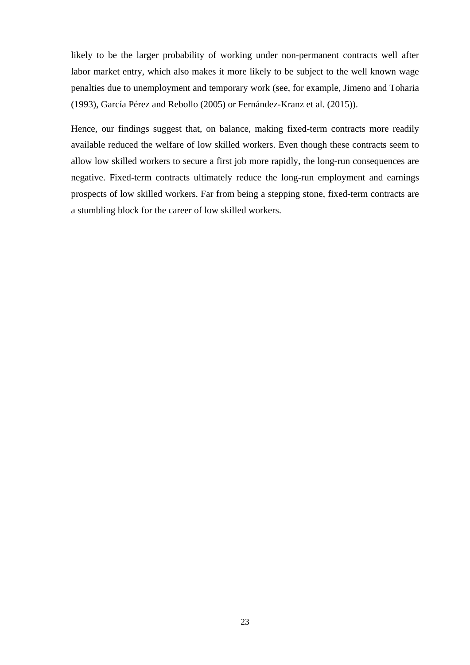likely to be the larger probability of working under non-permanent contracts well after labor market entry, which also makes it more likely to be subject to the well known wage penalties due to unemployment and temporary work (see, for example, Jimeno and Toharia (1993), García Pérez and Rebollo (2005) or Fernández-Kranz et al. (2015)).

Hence, our findings suggest that, on balance, making fixed-term contracts more readily available reduced the welfare of low skilled workers. Even though these contracts seem to allow low skilled workers to secure a first job more rapidly, the long-run consequences are negative. Fixed-term contracts ultimately reduce the long-run employment and earnings prospects of low skilled workers. Far from being a stepping stone, fixed-term contracts are a stumbling block for the career of low skilled workers.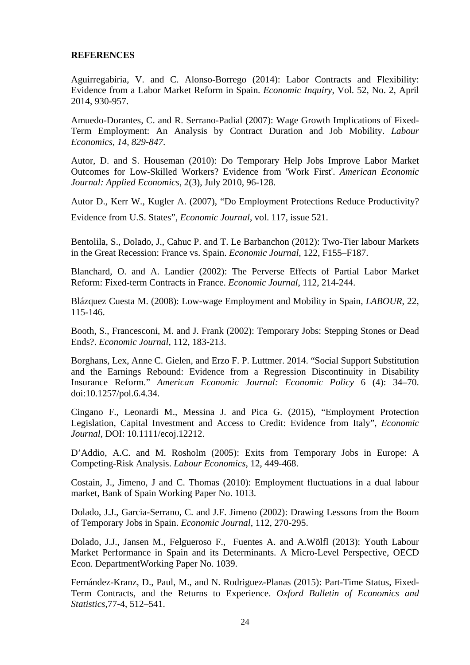#### **REFERENCES**

Aguirregabiria, V. and C. Alonso-Borrego (2014): Labor Contracts and Flexibility: Evidence from a Labor Market Reform in Spain. *Economic Inquiry*, Vol. 52, No. 2, April 2014, 930-957.

Amuedo-Dorantes, C. and R. Serrano-Padial (2007): Wage Growth Implications of Fixed-Term Employment: An Analysis by Contract Duration and Job Mobility. *Labour Economics, 14, 829-847*.

Autor, D. and S. Houseman (2010): Do Temporary Help Jobs Improve Labor Market Outcomes for Low-Skilled Workers? Evidence from 'Work First'. *American Economic Journal: Applied Economics*, 2(3), July 2010, 96-128.

Autor D., Kerr W., Kugler A. (2007), "Do Employment Protections Reduce Productivity?

Evidence from U.S. States", *Economic Journal*, vol. 117, issue 521.

Bentolila, S., Dolado, J., Cahuc P. and T. Le Barbanchon (2012): Two-Tier labour Markets in the Great Recession: France vs. Spain. *Economic Journal*, 122, F155–F187.

Blanchard, O. and A. Landier (2002): The Perverse Effects of Partial Labor Market Reform: Fixed-term Contracts in France. *Economic Journal*, 112, 214-244.

Blázquez Cuesta M. (2008): Low-wage Employment and Mobility in Spain, *LABOUR*, 22, 115-146.

Booth, S., Francesconi, M. and J. Frank (2002): Temporary Jobs: Stepping Stones or Dead Ends?. *Economic Journal*, 112, 183-213.

Borghans, Lex, Anne C. Gielen, and Erzo F. P. Luttmer. 2014. "Social Support Substitution and the Earnings Rebound: Evidence from a Regression Discontinuity in Disability Insurance Reform." *American Economic Journal: Economic Policy* 6 (4): 34–70. doi:10.1257/pol.6.4.34.

Cingano F., Leonardi M., Messina J. and Pica G. (2015), "Employment Protection Legislation, Capital Investment and Access to Credit: Evidence from Italy", *Economic Journal*, DOI: 10.1111/ecoj.12212.

D'Addio, A.C. and M. Rosholm (2005): Exits from Temporary Jobs in Europe: A Competing-Risk Analysis. *Labour Economics*, 12, 449-468.

Costain, J., Jimeno, J and C. Thomas (2010): Employment fluctuations in a dual labour market, Bank of Spain Working Paper No. 1013.

Dolado, J.J., Garcia-Serrano, C. and J.F. Jimeno (2002): Drawing Lessons from the Boom of Temporary Jobs in Spain. *Economic Journal*, 112, 270-295.

Dolado, J.J., Jansen M., Felgueroso F., Fuentes A. and A.Wölfl (2013): Youth Labour Market Performance in Spain and its Determinants. A Micro-Level Perspective, OECD Econ. DepartmentWorking Paper No. 1039.

Fernández-Kranz, D., Paul, M., and N. Rodriguez-Planas (2015): Part-Time Status, Fixed-Term Contracts, and the Returns to Experience. *Oxford Bulletin of Economics and Statistics*,77-4, 512–541.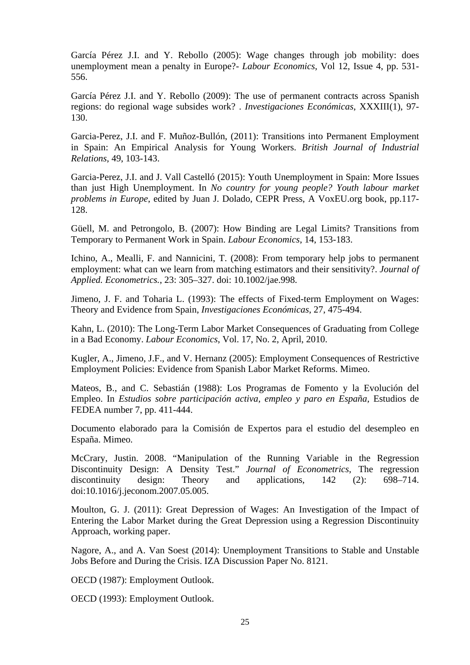García Pérez J.I. and Y. Rebollo (2005): Wage changes through job mobility: does unemployment mean a penalty in Europe?- *Labour Economics*, Vol 12, Issue 4, pp. 531- 556.

García Pérez J.I. and Y. Rebollo (2009): The use of permanent contracts across Spanish regions: do regional wage subsides work? . *Investigaciones Económicas*, XXXIII(1), 97- 130.

Garcia-Perez, J.I. and F. Muñoz-Bullón, (2011): Transitions into Permanent Employment in Spain: An Empirical Analysis for Young Workers. *British Journal of Industrial Relations*, 49, 103-143.

Garcia-Perez, J.I. and J. Vall Castelló (2015): Youth Unemployment in Spain: More Issues than just High Unemployment. In *No country for young people? Youth labour market problems in Europe*, edited by Juan J. Dolado, CEPR Press, A VoxEU.org book, pp.117- 128.

Güell, M. and Petrongolo, B. (2007): How Binding are Legal Limits? Transitions from Temporary to Permanent Work in Spain. *Labour Economics*, 14, 153-183.

Ichino, A., Mealli, F. and Nannicini, T. (2008): From temporary help jobs to permanent employment: what can we learn from matching estimators and their sensitivity?. *Journal of Applied. Econometrics.*, 23: 305–327. doi: 10.1002/jae.998.

Jimeno, J. F. and Toharia L. (1993): The effects of Fixed-term Employment on Wages: Theory and Evidence from Spain, *Investigaciones Económicas*, 27, 475-494.

Kahn, L. (2010): The Long-Term Labor Market Consequences of Graduating from College in a Bad Economy. *Labour Economics*, Vol. 17, No. 2, April, 2010.

Kugler, A., Jimeno, J.F., and V. Hernanz (2005): Employment Consequences of Restrictive Employment Policies: Evidence from Spanish Labor Market Reforms. Mimeo.

Mateos, B., and C. Sebastián (1988): Los Programas de Fomento y la Evolución del Empleo. In *Estudios sobre participación activa, empleo y paro en España*, Estudios de FEDEA number 7, pp. 411-444.

Documento elaborado para la Comisión de Expertos para el estudio del desempleo en España. Mimeo.

McCrary, Justin. 2008. "Manipulation of the Running Variable in the Regression Discontinuity Design: A Density Test." *Journal of Econometrics*, The regression discontinuity design: Theory and applications, 142 (2): 698–714. doi:10.1016/j.jeconom.2007.05.005.

Moulton, G. J. (2011): Great Depression of Wages: An Investigation of the Impact of Entering the Labor Market during the Great Depression using a Regression Discontinuity Approach, working paper.

Nagore, A., and A. Van Soest (2014): Unemployment Transitions to Stable and Unstable Jobs Before and During the Crisis. IZA Discussion Paper No. 8121.

OECD (1987): Employment Outlook.

OECD (1993): Employment Outlook.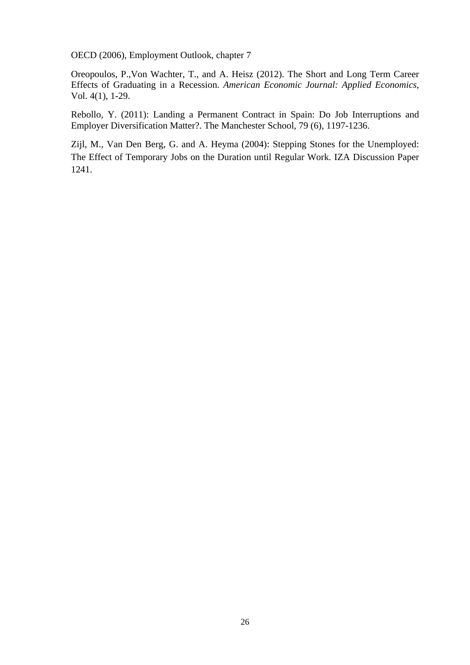OECD (2006), Employment Outlook, chapter 7

Oreopoulos, P.,Von Wachter, T., and A. Heisz (2012). The Short and Long Term Career Effects of Graduating in a Recession. *American Economic Journal: Applied Economics*, Vol. 4(1), 1-29.

Rebollo, Y. (2011): Landing a Permanent Contract in Spain: Do Job Interruptions and Employer Diversification Matter?. The Manchester School, 79 (6), 1197-1236.

Zijl, M., Van Den Berg, G. and A. Heyma (2004): Stepping Stones for the Unemployed: The Effect of Temporary Jobs on the Duration until Regular Work. IZA Discussion Paper 1241.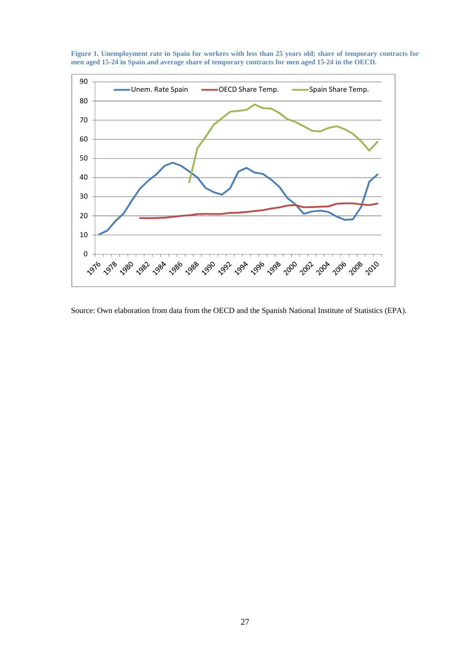

**Figure 1. Unemployment rate in Spain for workers with less than 25 years old; share of temporary contracts for men aged 15-24 in Spain and average share of temporary contracts for men aged 15-24 in the OECD.** 

Source: Own elaboration from data from the OECD and the Spanish National Institute of Statistics (EPA).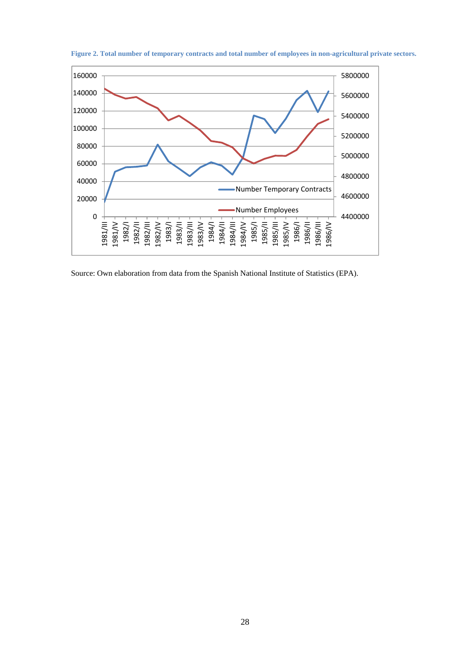

**Figure 2. Total number of temporary contracts and total number of employees in non-agricultural private sectors.** 

Source: Own elaboration from data from the Spanish National Institute of Statistics (EPA).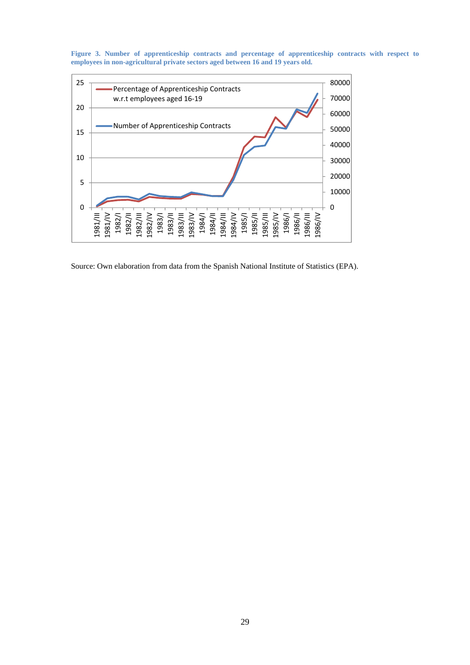



Source: Own elaboration from data from the Spanish National Institute of Statistics (EPA).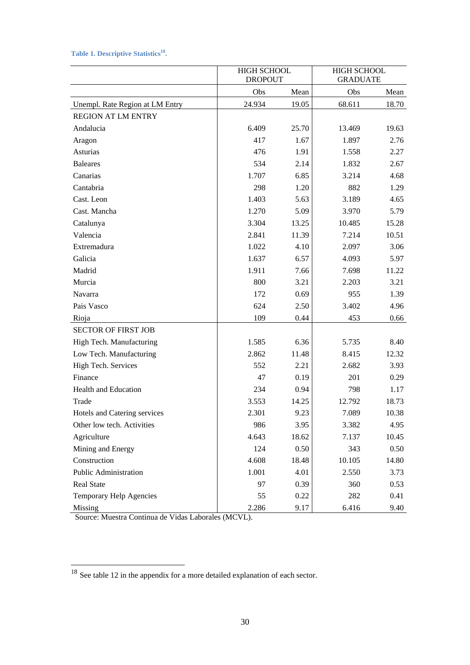# Table 1. Descriptive Statistics<sup>18</sup>.

|                                 |        | <b>HIGH SCHOOL</b><br><b>DROPOUT</b> |        | HIGH SCHOOL<br><b>GRADUATE</b> |
|---------------------------------|--------|--------------------------------------|--------|--------------------------------|
|                                 | Obs    | Mean                                 | Obs    | Mean                           |
| Unempl. Rate Region at LM Entry | 24.934 | 19.05                                | 68.611 | 18.70                          |
| <b>REGION AT LM ENTRY</b>       |        |                                      |        |                                |
| Andalucia                       | 6.409  | 25.70                                | 13.469 | 19.63                          |
| Aragon                          | 417    | 1.67                                 | 1.897  | 2.76                           |
| Asturias                        | 476    | 1.91                                 | 1.558  | 2.27                           |
| <b>Baleares</b>                 | 534    | 2.14                                 | 1.832  | 2.67                           |
| Canarias                        | 1.707  | 6.85                                 | 3.214  | 4.68                           |
| Cantabria                       | 298    | 1.20                                 | 882    | 1.29                           |
| Cast. Leon                      | 1.403  | 5.63                                 | 3.189  | 4.65                           |
| Cast. Mancha                    | 1.270  | 5.09                                 | 3.970  | 5.79                           |
| Catalunya                       | 3.304  | 13.25                                | 10.485 | 15.28                          |
| Valencia                        | 2.841  | 11.39                                | 7.214  | 10.51                          |
| Extremadura                     | 1.022  | 4.10                                 | 2.097  | 3.06                           |
| Galicia                         | 1.637  | 6.57                                 | 4.093  | 5.97                           |
| Madrid                          | 1.911  | 7.66                                 | 7.698  | 11.22                          |
| Murcia                          | 800    | 3.21                                 | 2.203  | 3.21                           |
| Navarra                         | 172    | 0.69                                 | 955    | 1.39                           |
| Pais Vasco                      | 624    | 2.50                                 | 3.402  | 4.96                           |
| Rioja                           | 109    | 0.44                                 | 453    | 0.66                           |
| <b>SECTOR OF FIRST JOB</b>      |        |                                      |        |                                |
| High Tech. Manufacturing        | 1.585  | 6.36                                 | 5.735  | 8.40                           |
| Low Tech. Manufacturing         | 2.862  | 11.48                                | 8.415  | 12.32                          |
| High Tech. Services             | 552    | 2.21                                 | 2.682  | 3.93                           |
| Finance                         | 47     | 0.19                                 | 201    | 0.29                           |
| Health and Education            | 234    | 0.94                                 | 798    | 1.17                           |
| Trade                           | 3.553  | 14.25                                | 12.792 | 18.73                          |
| Hotels and Catering services    | 2.301  | 9.23                                 | 7.089  | 10.38                          |
| Other low tech. Activities      | 986    | 3.95                                 | 3.382  | 4.95                           |
| Agriculture                     | 4.643  | 18.62                                | 7.137  | 10.45                          |
| Mining and Energy               | 124    | 0.50                                 | 343    | 0.50                           |
| Construction                    | 4.608  | 18.48                                | 10.105 | 14.80                          |
| Public Administration           | 1.001  | 4.01                                 | 2.550  | 3.73                           |
| Real State                      | 97     | 0.39                                 | 360    | 0.53                           |
| Temporary Help Agencies         | 55     | 0.22                                 | 282    | 0.41                           |
| Missing                         | 2.286  | 9.17                                 | 6.416  | 9.40                           |

Source: Muestra Continua de Vidas Laborales (MCVL).

1

<sup>&</sup>lt;sup>18</sup> See table 12 in the appendix for a more detailed explanation of each sector.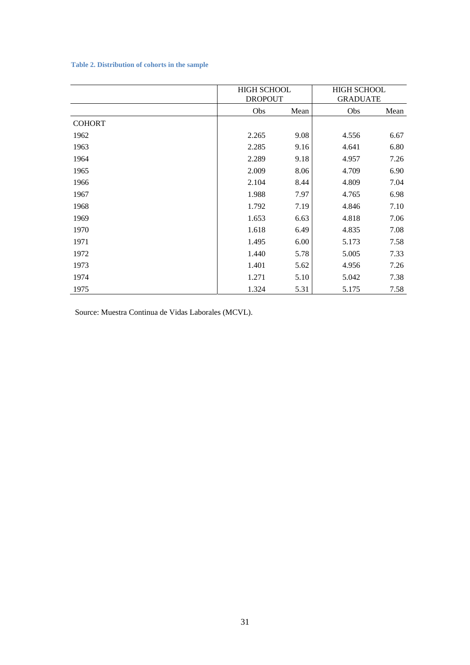#### **Table 2. Distribution of cohorts in the sample**

|               | <b>HIGH SCHOOL</b><br><b>DROPOUT</b> |      | <b>HIGH SCHOOL</b><br><b>GRADUATE</b> |      |
|---------------|--------------------------------------|------|---------------------------------------|------|
|               | Obs                                  | Mean | Obs                                   | Mean |
| <b>COHORT</b> |                                      |      |                                       |      |
| 1962          | 2.265                                | 9.08 | 4.556                                 | 6.67 |
| 1963          | 2.285                                | 9.16 | 4.641                                 | 6.80 |
| 1964          | 2.289                                | 9.18 | 4.957                                 | 7.26 |
| 1965          | 2.009                                | 8.06 | 4.709                                 | 6.90 |
| 1966          | 2.104                                | 8.44 | 4.809                                 | 7.04 |
| 1967          | 1.988                                | 7.97 | 4.765                                 | 6.98 |
| 1968          | 1.792                                | 7.19 | 4.846                                 | 7.10 |
| 1969          | 1.653                                | 6.63 | 4.818                                 | 7.06 |
| 1970          | 1.618                                | 6.49 | 4.835                                 | 7.08 |
| 1971          | 1.495                                | 6.00 | 5.173                                 | 7.58 |
| 1972          | 1.440                                | 5.78 | 5.005                                 | 7.33 |
| 1973          | 1.401                                | 5.62 | 4.956                                 | 7.26 |
| 1974          | 1.271                                | 5.10 | 5.042                                 | 7.38 |
| 1975          | 1.324                                | 5.31 | 5.175                                 | 7.58 |

Source: Muestra Continua de Vidas Laborales (MCVL).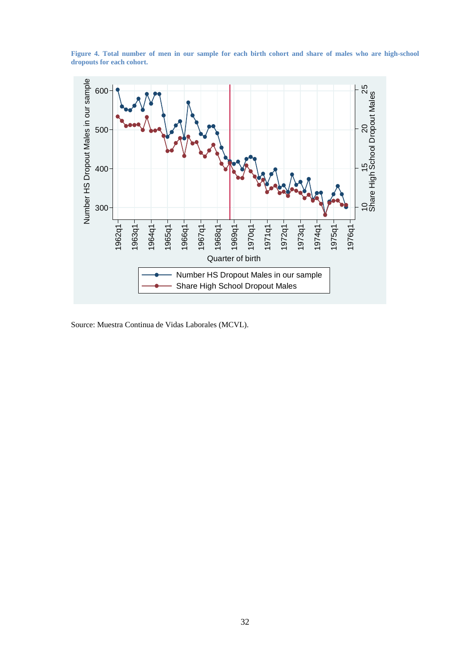

**Figure 4. Total number of men in our sample for each birth cohort and share of males who are high-school dropouts for each cohort.** 

Source: Muestra Continua de Vidas Laborales (MCVL).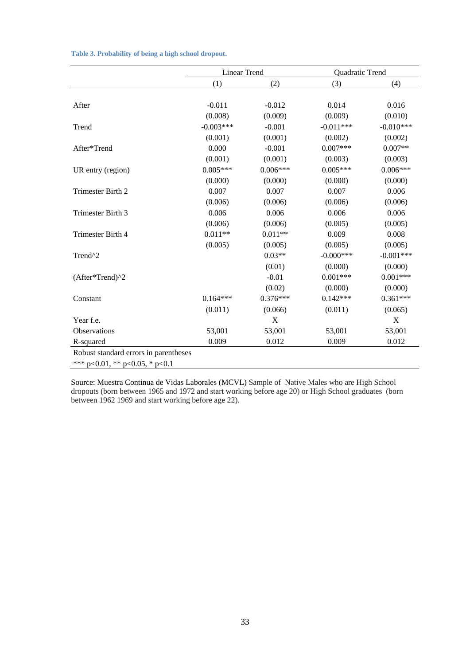|                                       | <b>Linear Trend</b> |            | Quadratic Trend |             |  |
|---------------------------------------|---------------------|------------|-----------------|-------------|--|
|                                       | (1)                 | (2)        | (3)             | (4)         |  |
|                                       |                     |            |                 |             |  |
| After                                 | $-0.011$            | $-0.012$   | 0.014           | 0.016       |  |
|                                       | (0.008)             | (0.009)    | (0.009)         | (0.010)     |  |
| Trend                                 | $-0.003***$         | $-0.001$   | $-0.011***$     | $-0.010***$ |  |
|                                       | (0.001)             | (0.001)    | (0.002)         | (0.002)     |  |
| After*Trend                           | 0.000               | $-0.001$   | $0.007***$      | $0.007**$   |  |
|                                       | (0.001)             | (0.001)    | (0.003)         | (0.003)     |  |
| UR entry (region)                     | $0.005***$          | $0.006***$ | $0.005***$      | $0.006***$  |  |
|                                       | (0.000)             | (0.000)    | (0.000)         | (0.000)     |  |
| Trimester Birth 2                     | 0.007               | 0.007      | 0.007           | 0.006       |  |
|                                       | (0.006)             | (0.006)    | (0.006)         | (0.006)     |  |
| Trimester Birth 3                     | 0.006               | 0.006      | 0.006           | 0.006       |  |
|                                       | (0.006)             | (0.006)    | (0.005)         | (0.005)     |  |
| Trimester Birth 4                     | $0.011**$           | $0.011**$  | 0.009           | 0.008       |  |
|                                       | (0.005)             | (0.005)    | (0.005)         | (0.005)     |  |
| Trend^2                               |                     | $0.03**$   | $-0.000***$     | $-0.001***$ |  |
|                                       |                     | (0.01)     | (0.000)         | (0.000)     |  |
| (After*Trend)^2                       |                     | $-0.01$    | $0.001***$      | $0.001***$  |  |
|                                       |                     | (0.02)     | (0.000)         | (0.000)     |  |
| Constant                              | $0.164***$          | $0.376***$ | $0.142***$      | $0.361***$  |  |
|                                       | (0.011)             | (0.066)    | (0.011)         | (0.065)     |  |
| Year f.e.                             |                     | X          |                 | X           |  |
| <b>Observations</b>                   | 53,001              | 53,001     | 53,001          | 53,001      |  |
| R-squared                             | 0.009               | 0.012      | 0.009           | 0.012       |  |
| Robust standard errors in parentheses |                     |            |                 |             |  |
| *** p<0.01, ** p<0.05, * p<0.1        |                     |            |                 |             |  |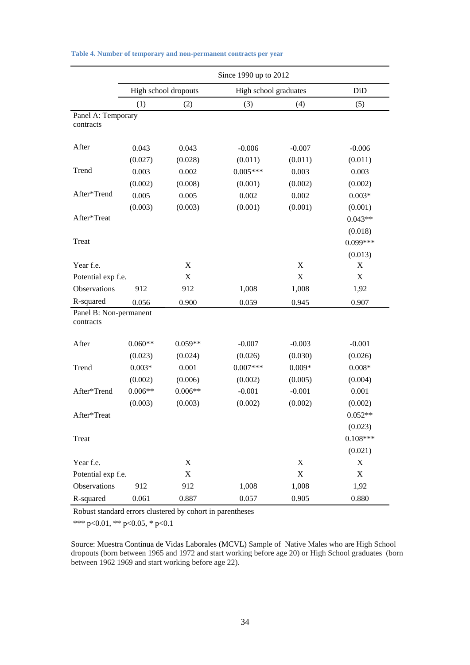|                                     | Since 1990 up to 2012          |                                                           |                       |             |            |  |  |  |
|-------------------------------------|--------------------------------|-----------------------------------------------------------|-----------------------|-------------|------------|--|--|--|
|                                     |                                | High school dropouts                                      | High school graduates |             | DiD        |  |  |  |
|                                     | (1)                            | (2)                                                       | (3)                   | (4)         | (5)        |  |  |  |
| Panel A: Temporary<br>contracts     |                                |                                                           |                       |             |            |  |  |  |
| After                               | 0.043                          | 0.043                                                     | $-0.006$              | $-0.007$    | $-0.006$   |  |  |  |
|                                     | (0.027)                        | (0.028)                                                   | (0.011)               | (0.011)     | (0.011)    |  |  |  |
| Trend                               | 0.003                          | 0.002                                                     | $0.005***$            | 0.003       | 0.003      |  |  |  |
|                                     | (0.002)                        | (0.008)                                                   | (0.001)               | (0.002)     | (0.002)    |  |  |  |
| After*Trend                         | 0.005                          | 0.005                                                     | 0.002                 | 0.002       | $0.003*$   |  |  |  |
|                                     | (0.003)                        | (0.003)                                                   | (0.001)               | (0.001)     | (0.001)    |  |  |  |
| After*Treat                         |                                |                                                           |                       |             | $0.043**$  |  |  |  |
|                                     |                                |                                                           |                       |             | (0.018)    |  |  |  |
| Treat                               |                                |                                                           |                       |             | $0.099***$ |  |  |  |
|                                     |                                |                                                           |                       |             | (0.013)    |  |  |  |
| Year f.e.                           |                                | X                                                         |                       | X           | X          |  |  |  |
| Potential exp f.e.                  |                                | X                                                         |                       | X           | X          |  |  |  |
| Observations                        | 912                            | 912                                                       | 1,008                 | 1,008       | 1,92       |  |  |  |
| R-squared                           | 0.056                          | 0.900                                                     | 0.059                 | 0.945       | 0.907      |  |  |  |
| Panel B: Non-permanent<br>contracts |                                |                                                           |                       |             |            |  |  |  |
| After                               | $0.060**$                      | $0.059**$                                                 | $-0.007$              | $-0.003$    | $-0.001$   |  |  |  |
|                                     | (0.023)                        | (0.024)                                                   | (0.026)               | (0.030)     | (0.026)    |  |  |  |
| Trend                               | $0.003*$                       | 0.001                                                     | $0.007***$            | $0.009*$    | $0.008*$   |  |  |  |
|                                     | (0.002)                        | (0.006)                                                   | (0.002)               | (0.005)     | (0.004)    |  |  |  |
| After*Trend                         | $0.006**$                      | $0.006**$                                                 | $-0.001$              | $-0.001$    | 0.001      |  |  |  |
|                                     | (0.003)                        | (0.003)                                                   | (0.002)               | (0.002)     | (0.002)    |  |  |  |
| After*Treat                         |                                |                                                           |                       |             | $0.052**$  |  |  |  |
|                                     |                                |                                                           |                       |             | (0.023)    |  |  |  |
| Treat                               |                                |                                                           |                       |             | $0.108***$ |  |  |  |
|                                     |                                |                                                           |                       |             | (0.021)    |  |  |  |
| Year f.e.                           |                                | X                                                         |                       | X           | X          |  |  |  |
| Potential exp f.e.                  |                                | X                                                         |                       | $\mathbf X$ | X          |  |  |  |
| Observations                        | 912                            | 912                                                       | 1,008                 | 1,008       | 1,92       |  |  |  |
| R-squared                           | 0.061                          | 0.887                                                     | 0.057                 | 0.905       | 0.880      |  |  |  |
|                                     |                                | Robust standard errors clustered by cohort in parentheses |                       |             |            |  |  |  |
|                                     | *** p<0.01, ** p<0.05, * p<0.1 |                                                           |                       |             |            |  |  |  |

| Table 4. Number of temporary and non-permanent contracts per year |  |  |
|-------------------------------------------------------------------|--|--|
|-------------------------------------------------------------------|--|--|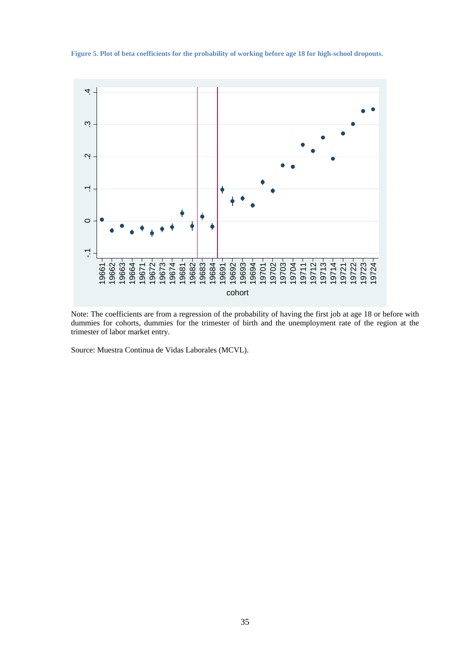**Figure 5. Plot of beta coefficients for the probability of working before age 18 for high-school dropouts.** 



Note: The coefficients are from a regression of the probability of having the first job at age 18 or before with dummies for cohorts, dummies for the trimester of birth and the unemployment rate of the region at the trimester of labor market entry.

Source: Muestra Continua de Vidas Laborales (MCVL).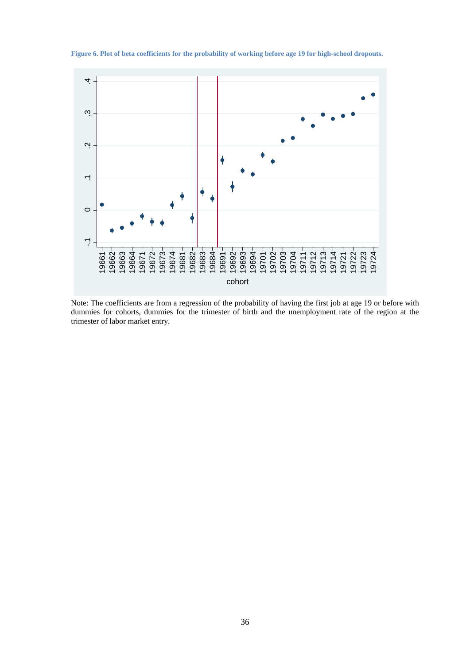

**Figure 6. Plot of beta coefficients for the probability of working before age 19 for high-school dropouts.** 

Note: The coefficients are from a regression of the probability of having the first job at age 19 or before with dummies for cohorts, dummies for the trimester of birth and the unemployment rate of the region at the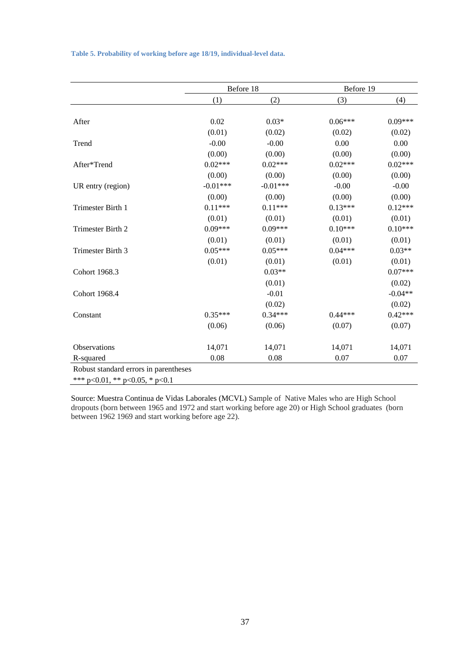|  |  |  |  |  | Table 5. Probability of working before age 18/19, individual-level data. |
|--|--|--|--|--|--------------------------------------------------------------------------|
|--|--|--|--|--|--------------------------------------------------------------------------|

|                                       | Before 18  |            | Before 19 |           |
|---------------------------------------|------------|------------|-----------|-----------|
|                                       | (1)        | (2)        | (3)       | (4)       |
|                                       |            |            |           |           |
| After                                 | 0.02       | $0.03*$    | $0.06***$ | $0.09***$ |
|                                       | (0.01)     | (0.02)     | (0.02)    | (0.02)    |
| Trend                                 | $-0.00$    | $-0.00$    | 0.00      | 0.00      |
|                                       | (0.00)     | (0.00)     | (0.00)    | (0.00)    |
| After*Trend                           | $0.02***$  | $0.02***$  | $0.02***$ | $0.02***$ |
|                                       | (0.00)     | (0.00)     | (0.00)    | (0.00)    |
| UR entry (region)                     | $-0.01***$ | $-0.01***$ | $-0.00$   | $-0.00$   |
|                                       | (0.00)     | (0.00)     | (0.00)    | (0.00)    |
| Trimester Birth 1                     | $0.11***$  | $0.11***$  | $0.13***$ | $0.12***$ |
|                                       | (0.01)     | (0.01)     | (0.01)    | (0.01)    |
| Trimester Birth 2                     | $0.09***$  | $0.09***$  | $0.10***$ | $0.10***$ |
|                                       | (0.01)     | (0.01)     | (0.01)    | (0.01)    |
| Trimester Birth 3                     | $0.05***$  | $0.05***$  | $0.04***$ | $0.03**$  |
|                                       | (0.01)     | (0.01)     | (0.01)    | (0.01)    |
| Cohort 1968.3                         |            | $0.03**$   |           | $0.07***$ |
|                                       |            | (0.01)     |           | (0.02)    |
| Cohort 1968.4                         |            | $-0.01$    |           | $-0.04**$ |
|                                       |            | (0.02)     |           | (0.02)    |
| Constant                              | $0.35***$  | $0.34***$  | $0.44***$ | $0.42***$ |
|                                       | (0.06)     | (0.06)     | (0.07)    | (0.07)    |
| Observations                          | 14,071     | 14,071     | 14,071    | 14,071    |
| R-squared                             | 0.08       | 0.08       | 0.07      | 0.07      |
| Robust standard errors in parentheses |            |            |           |           |
| *** p<0.01, ** p<0.05, * p<0.1        |            |            |           |           |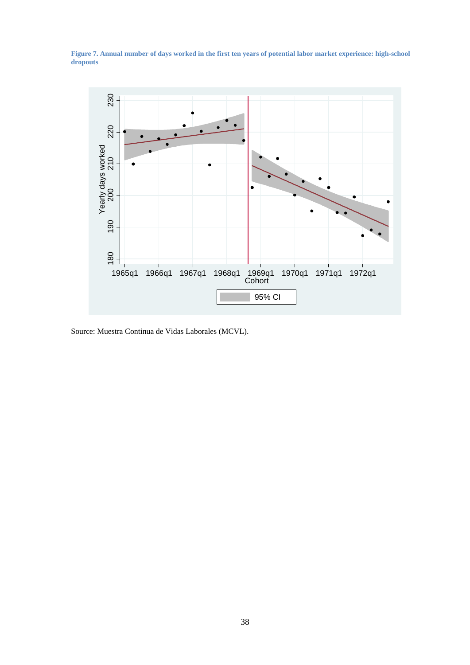**Figure 7. Annual number of days worked in the first ten years of potential labor market experience: high-school dropouts** 



Source: Muestra Continua de Vidas Laborales (MCVL).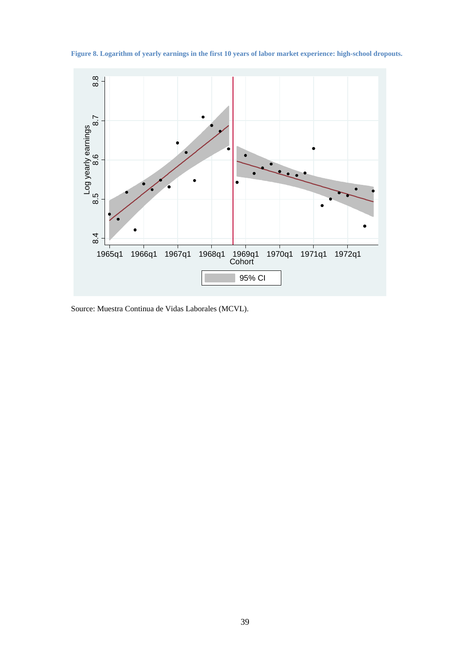**Figure 8. Logarithm of yearly earnings in the first 10 years of labor market experience: high-school dropouts.** 

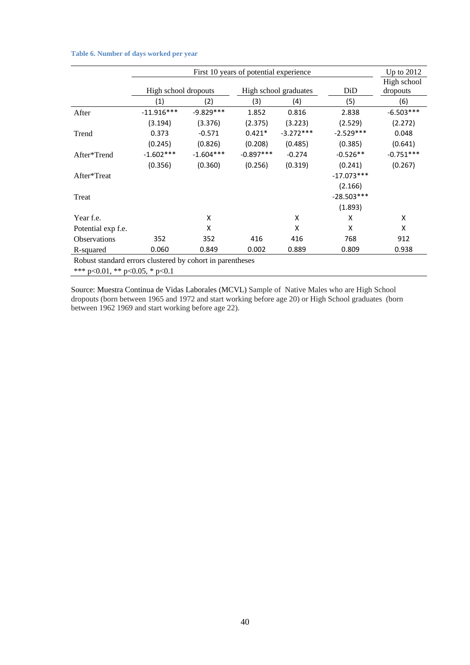#### **Table 6. Number of days worked per year**

|                                                           | First 10 years of potential experience        |             |             |             |                         |             |  |  |
|-----------------------------------------------------------|-----------------------------------------------|-------------|-------------|-------------|-------------------------|-------------|--|--|
|                                                           | High school dropouts<br>High school graduates |             |             | DiD         | High school<br>dropouts |             |  |  |
|                                                           | (1)                                           | (2)         | (3)         | (4)         | (5)                     | (6)         |  |  |
| After                                                     | $-11.916***$                                  | $-9.829***$ | 1.852       | 0.816       | 2.838                   | $-6.503***$ |  |  |
|                                                           | (3.194)                                       | (3.376)     | (2.375)     | (3.223)     | (2.529)                 | (2.272)     |  |  |
| Trend                                                     | 0.373                                         | $-0.571$    | $0.421*$    | $-3.272***$ | $-2.529***$             | 0.048       |  |  |
|                                                           | (0.245)                                       | (0.826)     | (0.208)     | (0.485)     | (0.385)                 | (0.641)     |  |  |
| After*Trend                                               | $-1.602***$                                   | $-1.604***$ | $-0.897***$ | $-0.274$    | $-0.526**$              | $-0.751***$ |  |  |
|                                                           | (0.356)                                       | (0.360)     | (0.256)     | (0.319)     | (0.241)                 | (0.267)     |  |  |
| After*Treat                                               |                                               |             |             |             | $-17.073***$            |             |  |  |
|                                                           |                                               |             |             |             | (2.166)                 |             |  |  |
| Treat                                                     |                                               |             |             |             | $-28.503***$            |             |  |  |
|                                                           |                                               |             |             |             | (1.893)                 |             |  |  |
| Year f.e.                                                 |                                               | X           |             | X           | X                       | X           |  |  |
| Potential exp f.e.                                        |                                               | X           |             | X           | X                       | X           |  |  |
| Observations                                              | 352                                           | 352         | 416         | 416         | 768                     | 912         |  |  |
| R-squared                                                 | 0.060                                         | 0.849       | 0.002       | 0.889       | 0.809                   | 0.938       |  |  |
| Robust standard errors clustered by cohort in parentheses |                                               |             |             |             |                         |             |  |  |
|                                                           | *** $p<0.01$ , ** $p<0.05$ , * $p<0.1$        |             |             |             |                         |             |  |  |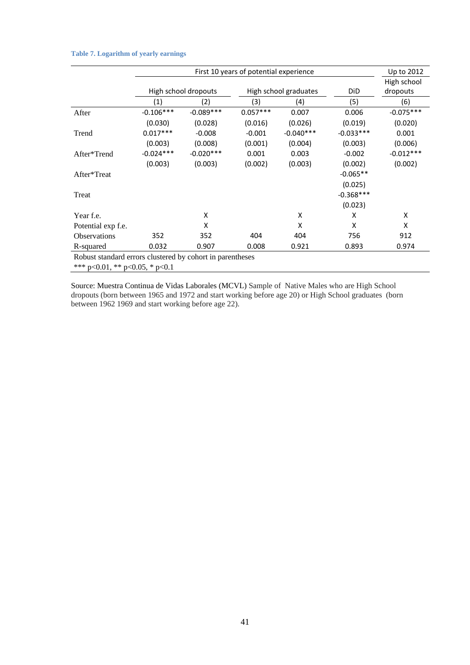#### **Table 7. Logarithm of yearly earnings**

|                                                           |             | Up to 2012           |            |                       |             |             |
|-----------------------------------------------------------|-------------|----------------------|------------|-----------------------|-------------|-------------|
|                                                           |             |                      |            |                       |             | High school |
|                                                           |             | High school dropouts |            | High school graduates | DiD         | dropouts    |
|                                                           | (1)         | (2)                  | (3)        | (4)                   | (5)         | (6)         |
| After                                                     | $-0.106***$ | $-0.089***$          | $0.057***$ | 0.007                 | 0.006       | $-0.075***$ |
|                                                           | (0.030)     | (0.028)              | (0.016)    | (0.026)               | (0.019)     | (0.020)     |
| Trend                                                     | $0.017***$  | $-0.008$             | $-0.001$   | $-0.040***$           | $-0.033***$ | 0.001       |
|                                                           | (0.003)     | (0.008)              | (0.001)    | (0.004)               | (0.003)     | (0.006)     |
| After*Trend                                               | $-0.024***$ | $-0.020***$          | 0.001      | 0.003                 | $-0.002$    | $-0.012***$ |
|                                                           | (0.003)     | (0.003)              | (0.002)    | (0.003)               | (0.002)     | (0.002)     |
| After*Treat                                               |             |                      |            |                       | $-0.065**$  |             |
|                                                           |             |                      |            |                       | (0.025)     |             |
| Treat                                                     |             |                      |            |                       | $-0.368***$ |             |
|                                                           |             |                      |            |                       | (0.023)     |             |
| Year f.e.                                                 |             | Χ                    |            | Χ                     | x           | х           |
| Potential exp f.e.                                        |             | X                    |            | X                     | x           | X           |
| <b>Observations</b>                                       | 352         | 352                  | 404        | 404                   | 756         | 912         |
| R-squared                                                 | 0.032       | 0.907                | 0.008      | 0.921                 | 0.893       | 0.974       |
| Robust standard errors clustered by cohort in parentheses |             |                      |            |                       |             |             |

\*\*\* p<0.01, \*\* p<0.05, \* p<0.1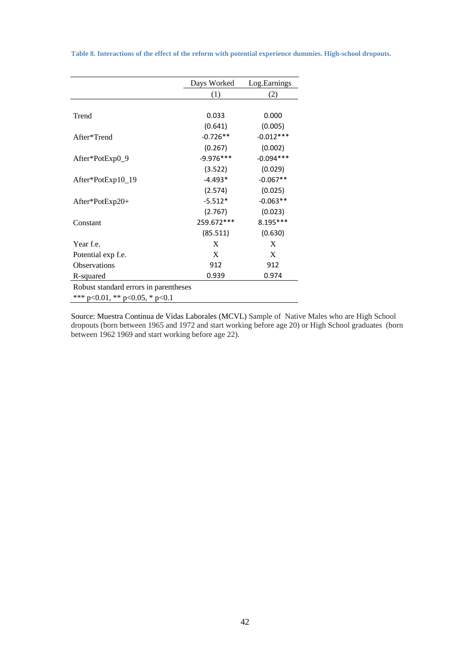**Table 8. Interactions of the effect of the reform with potential experience dummies. High-school dropouts.** 

|                                        | Days Worked | Log.Earnings |
|----------------------------------------|-------------|--------------|
|                                        | (1)         | (2)          |
|                                        |             |              |
| Trend                                  | 0.033       | 0.000        |
|                                        | (0.641)     | (0.005)      |
| After*Trend                            | $-0.726**$  | $-0.012***$  |
|                                        | (0.267)     | (0.002)      |
| After*PotExp0_9                        | $-9.976***$ | $-0.094***$  |
|                                        | (3.522)     | (0.029)      |
| After*PotExp10_19                      | $-4.493*$   | $-0.067**$   |
|                                        | (2.574)     | (0.025)      |
| After*PotExp20+                        | $-5.512*$   | $-0.063**$   |
|                                        | (2.767)     | (0.023)      |
| Constant                               | 259.672***  | $8.195***$   |
|                                        | (85.511)    | (0.630)      |
| Year f.e.                              | X           | X            |
| Potential exp f.e.                     | X           | X            |
| <b>Observations</b>                    | 912         | 912          |
| R-squared                              | 0.939       | 0.974        |
| Robust standard errors in parentheses  |             |              |
| *** $p<0.01$ , ** $p<0.05$ , * $p<0.1$ |             |              |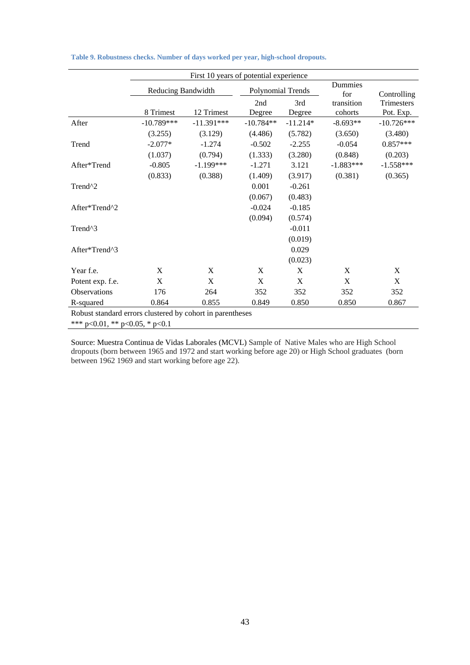|                                                           | First 10 years of potential experience |              |                   |               |                       |                         |
|-----------------------------------------------------------|----------------------------------------|--------------|-------------------|---------------|-----------------------|-------------------------|
|                                                           | Reducing Bandwidth                     |              | Polynomial Trends |               | Dummies<br>for        | Controlling             |
|                                                           | 8 Trimest                              | 12 Trimest   | 2nd<br>Degree     | 3rd<br>Degree | transition<br>cohorts | Trimesters<br>Pot. Exp. |
| After                                                     | $-10.789***$                           | $-11.391***$ | $-10.784**$       | $-11.214*$    | $-8.693**$            | $-10.726***$            |
|                                                           | (3.255)                                | (3.129)      | (4.486)           | (5.782)       | (3.650)               | (3.480)                 |
| Trend                                                     | $-2.077*$                              | $-1.274$     | $-0.502$          | $-2.255$      | $-0.054$              | $0.857***$              |
|                                                           | (1.037)                                | (0.794)      | (1.333)           | (3.280)       | (0.848)               | (0.203)                 |
| After*Trend                                               | $-0.805$                               | $-1.199***$  | $-1.271$          | 3.121         | $-1.883***$           | $-1.558***$             |
|                                                           | (0.833)                                | (0.388)      | (1.409)           | (3.917)       | (0.381)               | (0.365)                 |
| Trend <sup>^2</sup>                                       |                                        |              | 0.001             | $-0.261$      |                       |                         |
|                                                           |                                        |              | (0.067)           | (0.483)       |                       |                         |
| After*Trend^2                                             |                                        |              | $-0.024$          | $-0.185$      |                       |                         |
|                                                           |                                        |              | (0.094)           | (0.574)       |                       |                         |
| Trend <sup>^3</sup>                                       |                                        |              |                   | $-0.011$      |                       |                         |
|                                                           |                                        |              |                   | (0.019)       |                       |                         |
| After*Trend^3                                             |                                        |              |                   | 0.029         |                       |                         |
|                                                           |                                        |              |                   | (0.023)       |                       |                         |
| Year f.e.                                                 | X                                      | X            | X                 | X             | X                     | X                       |
| Potent exp. f.e.                                          | X                                      | X            | X                 | X             | X                     | X                       |
| Observations                                              | 176                                    | 264          | 352               | 352           | 352                   | 352                     |
| R-squared                                                 | 0.864                                  | 0.855        | 0.849             | 0.850         | 0.850                 | 0.867                   |
| Robust standard errors clustered by cohort in parentheses |                                        |              |                   |               |                       |                         |
| *** p<0.01, ** p<0.05, * p<0.1                            |                                        |              |                   |               |                       |                         |

| Table 9. Robustness checks. Number of days worked per year, high-school dropouts. |  |  |  |  |  |  |  |  |  |
|-----------------------------------------------------------------------------------|--|--|--|--|--|--|--|--|--|
|-----------------------------------------------------------------------------------|--|--|--|--|--|--|--|--|--|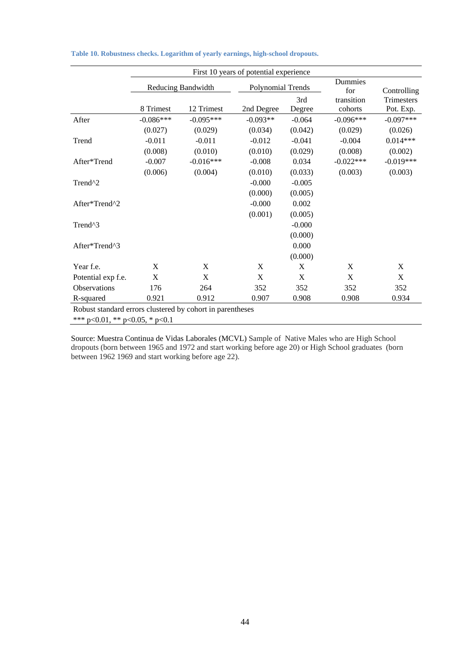|                                                           |                    |             | First 10 years of potential experience |          |                |                   |
|-----------------------------------------------------------|--------------------|-------------|----------------------------------------|----------|----------------|-------------------|
|                                                           | Reducing Bandwidth |             | Polynomial Trends                      |          | Dummies<br>for | Controlling       |
|                                                           |                    |             |                                        | 3rd      | transition     | <b>Trimesters</b> |
|                                                           | 8 Trimest          | 12 Trimest  | 2nd Degree                             | Degree   | cohorts        | Pot. Exp.         |
| After                                                     | $-0.086***$        | $-0.095***$ | $-0.093**$                             | $-0.064$ | $-0.096***$    | $-0.097***$       |
|                                                           | (0.027)            | (0.029)     | (0.034)                                | (0.042)  | (0.029)        | (0.026)           |
| Trend                                                     | $-0.011$           | $-0.011$    | $-0.012$                               | $-0.041$ | $-0.004$       | $0.014***$        |
|                                                           | (0.008)            | (0.010)     | (0.010)                                | (0.029)  | (0.008)        | (0.002)           |
| After*Trend                                               | $-0.007$           | $-0.016***$ | $-0.008$                               | 0.034    | $-0.022***$    | $-0.019***$       |
|                                                           | (0.006)            | (0.004)     | (0.010)                                | (0.033)  | (0.003)        | (0.003)           |
| Trend <sup>^2</sup>                                       |                    |             | $-0.000$                               | $-0.005$ |                |                   |
|                                                           |                    |             | (0.000)                                | (0.005)  |                |                   |
| After*Trend^2                                             |                    |             | $-0.000$                               | 0.002    |                |                   |
|                                                           |                    |             | (0.001)                                | (0.005)  |                |                   |
| Trend <sup>^3</sup>                                       |                    |             |                                        | $-0.000$ |                |                   |
|                                                           |                    |             |                                        | (0.000)  |                |                   |
| After*Trend^3                                             |                    |             |                                        | 0.000    |                |                   |
|                                                           |                    |             |                                        | (0.000)  |                |                   |
| Year f.e.                                                 | X                  | X           | X                                      | X        | X              | X                 |
| Potential exp f.e.                                        | X                  | X           | X                                      | X        | X              | X                 |
| Observations                                              | 176                | 264         | 352                                    | 352      | 352            | 352               |
| R-squared                                                 | 0.921              | 0.912       | 0.907                                  | 0.908    | 0.908          | 0.934             |
| Robust standard errors clustered by cohort in parentheses |                    |             |                                        |          |                |                   |
| *** p<0.01, ** p<0.05, * p<0.1                            |                    |             |                                        |          |                |                   |

**Table 10. Robustness checks. Logarithm of yearly earnings, high-school dropouts.**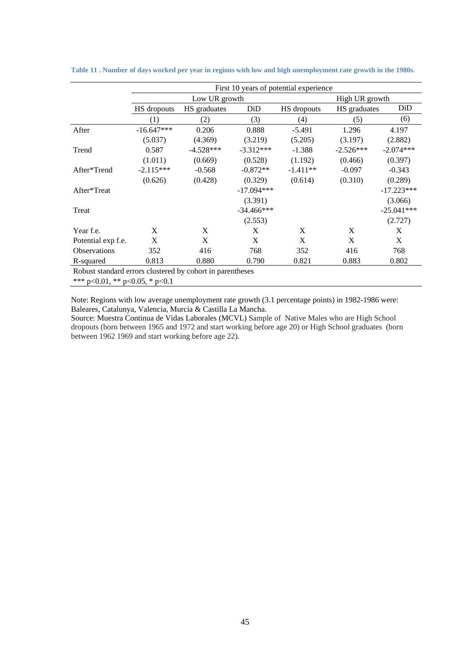|                                                           |              |               |              | First 10 years of potential experience |              |              |  |
|-----------------------------------------------------------|--------------|---------------|--------------|----------------------------------------|--------------|--------------|--|
|                                                           |              | Low UR growth |              | High UR growth                         |              |              |  |
|                                                           | HS dropouts  | HS graduates  | DiD          | HS dropouts                            | HS graduates | DiD          |  |
|                                                           | (1)          | (2)           | (3)          | (4)                                    | (5)          | (6)          |  |
| After                                                     | $-16.647***$ | 0.206         | 0.888        | $-5.491$                               | 1.296        | 4.197        |  |
|                                                           | (5.037)      | (4.369)       | (3.219)      | (5.205)                                | (3.197)      | (2.882)      |  |
| Trend                                                     | 0.587        | $-4.528***$   | $-3.312***$  | $-1.388$                               | $-2.526***$  | $-2.074***$  |  |
|                                                           | (1.011)      | (0.669)       | (0.528)      | (1.192)                                | (0.466)      | (0.397)      |  |
| After*Trend                                               | $-2.115***$  | $-0.568$      | $-0.872**$   | $-1.411**$                             | $-0.097$     | $-0.343$     |  |
|                                                           | (0.626)      | (0.428)       | (0.329)      | (0.614)                                | (0.310)      | (0.289)      |  |
| After*Treat                                               |              |               | $-17.094***$ |                                        |              | $-17.223***$ |  |
|                                                           |              |               | (3.391)      |                                        |              | (3.066)      |  |
| Treat                                                     |              |               | $-34.466***$ |                                        |              | $-25.041***$ |  |
|                                                           |              |               | (2.553)      |                                        |              | (2.727)      |  |
| Year f.e.                                                 | X            | X             | X            | X                                      | X            | X            |  |
| Potential exp f.e.                                        | X            | X             | X            | X                                      | X            | X            |  |
| <b>Observations</b>                                       | 352          | 416           | 768          | 352                                    | 416          | 768          |  |
| R-squared                                                 | 0.813        | 0.880         | 0.790        | 0.821                                  | 0.883        | 0.802        |  |
| Robust standard errors clustered by cohort in parentheses |              |               |              |                                        |              |              |  |

**Table 11 . Number of days worked per year in regions with low and high unemployment rate growth in the 1980s.** 

\*\*\* p<0.01, \*\* p<0.05, \* p<0.1

Note: Regions with low average unemployment rate growth (3.1 percentage points) in 1982-1986 were: Baleares, Catalunya, Valencia, Murcia & Castilla La Mancha.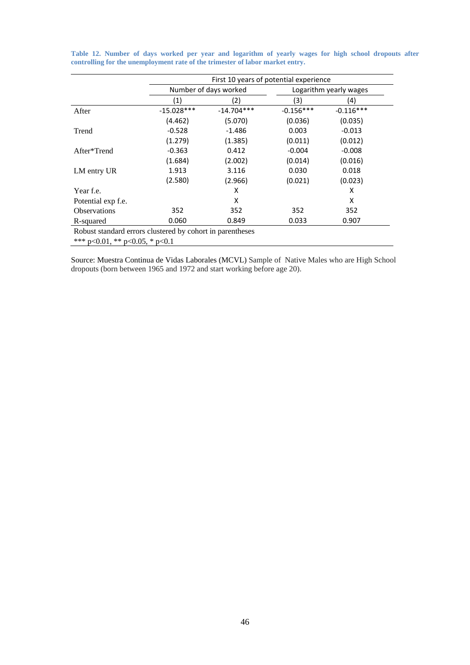|                                                           | First 10 years of potential experience |                       |             |                        |  |  |
|-----------------------------------------------------------|----------------------------------------|-----------------------|-------------|------------------------|--|--|
|                                                           |                                        | Number of days worked |             | Logarithm yearly wages |  |  |
|                                                           | (1)                                    | 2)                    | (3)         | (4)                    |  |  |
| After                                                     | $-15.028***$                           | $-14.704***$          | $-0.156***$ | $-0.116***$            |  |  |
|                                                           | (4.462)                                | (5.070)               | (0.036)     | (0.035)                |  |  |
| Trend                                                     | $-0.528$                               | $-1.486$              | 0.003       | $-0.013$               |  |  |
|                                                           | (1.279)                                | (1.385)               | (0.011)     | (0.012)                |  |  |
| After*Trend                                               | $-0.363$                               | 0.412                 | $-0.004$    | $-0.008$               |  |  |
|                                                           | (1.684)                                | (2.002)               | (0.014)     | (0.016)                |  |  |
| LM entry UR                                               | 1.913                                  | 3.116                 | 0.030       | 0.018                  |  |  |
|                                                           | (2.580)                                | (2.966)               | (0.021)     | (0.023)                |  |  |
| Year f.e.                                                 |                                        | x                     |             | x                      |  |  |
| Potential exp f.e.                                        |                                        | x                     |             | x                      |  |  |
| <b>Observations</b>                                       | 352                                    | 352                   | 352         | 352                    |  |  |
| R-squared                                                 | 0.060                                  | 0.849                 | 0.033       | 0.907                  |  |  |
| Robust standard errors clustered by cohort in parentheses |                                        |                       |             |                        |  |  |
| *** $p<0.01$ , ** $p<0.05$ , * $p<0.1$                    |                                        |                       |             |                        |  |  |

**Table 12. Number of days worked per year and logarithm of yearly wages for high school dropouts after controlling for the unemployment rate of the trimester of labor market entry.** 

Source: Muestra Continua de Vidas Laborales (MCVL) Sample of Native Males who are High School dropouts (born between 1965 and 1972 and start working before age 20).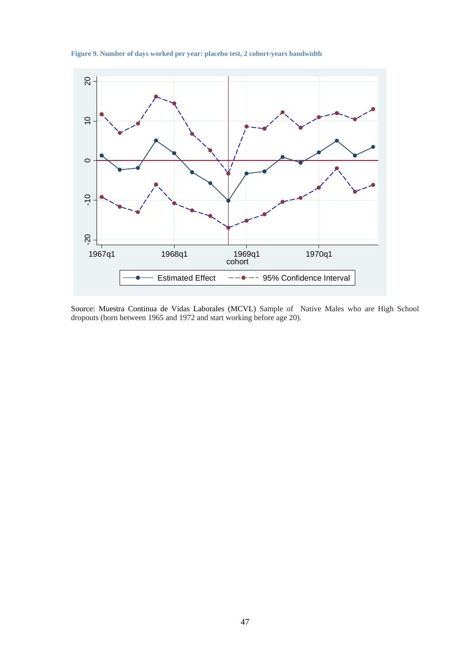**Figure 9. Number of days worked per year: placebo test, 2 cohort-years bandwidth** 



Source: Muestra Continua de Vidas Laborales (MCVL) Sample of Native Males who are High School dropouts (born between 1965 and 1972 and start working before age 20).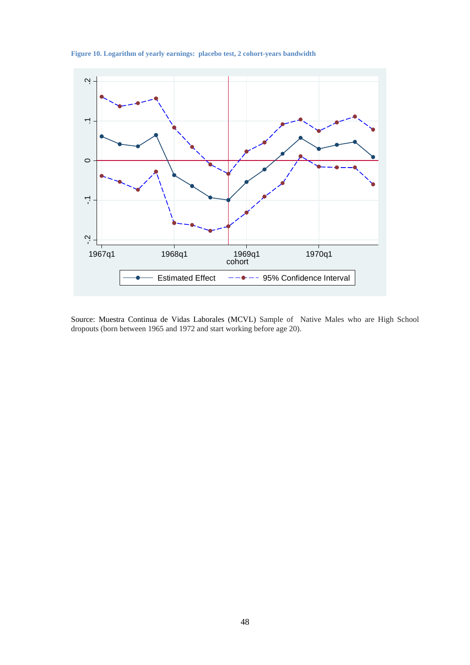

**Figure 10. Logarithm of yearly earnings: placebo test, 2 cohort-years bandwidth** 

Source: Muestra Continua de Vidas Laborales (MCVL) Sample of Native Males who are High School dropouts (born between 1965 and 1972 and start working before age 20).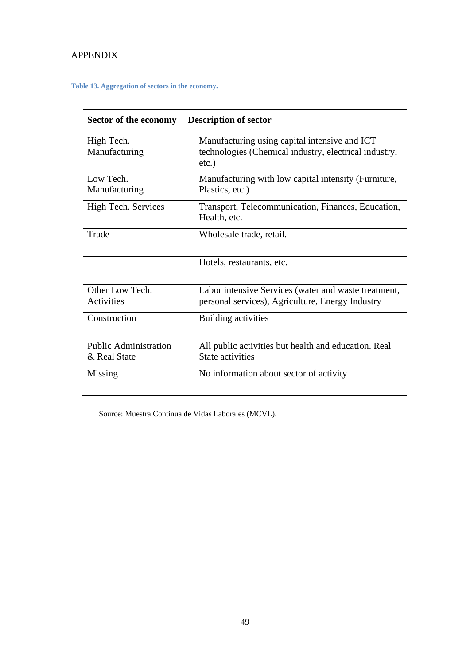## APPENDIX

#### **Table 13. Aggregation of sectors in the economy.**

| Sector of the economy        | <b>Description of sector</b>                                                                                       |
|------------------------------|--------------------------------------------------------------------------------------------------------------------|
| High Tech.<br>Manufacturing  | Manufacturing using capital intensive and ICT<br>technologies (Chemical industry, electrical industry,<br>$etc.$ ) |
| Low Tech.                    | Manufacturing with low capital intensity (Furniture,                                                               |
| Manufacturing                | Plastics, etc.)                                                                                                    |
| High Tech. Services          | Transport, Telecommunication, Finances, Education,<br>Health, etc.                                                 |
| Trade                        | Wholesale trade, retail.                                                                                           |
|                              | Hotels, restaurants, etc.                                                                                          |
| Other Low Tech.              | Labor intensive Services (water and waste treatment,                                                               |
| <b>Activities</b>            | personal services), Agriculture, Energy Industry                                                                   |
| Construction                 | <b>Building activities</b>                                                                                         |
| <b>Public Administration</b> | All public activities but health and education. Real                                                               |
| & Real State                 | State activities                                                                                                   |
| Missing                      | No information about sector of activity                                                                            |

Source: Muestra Continua de Vidas Laborales (MCVL).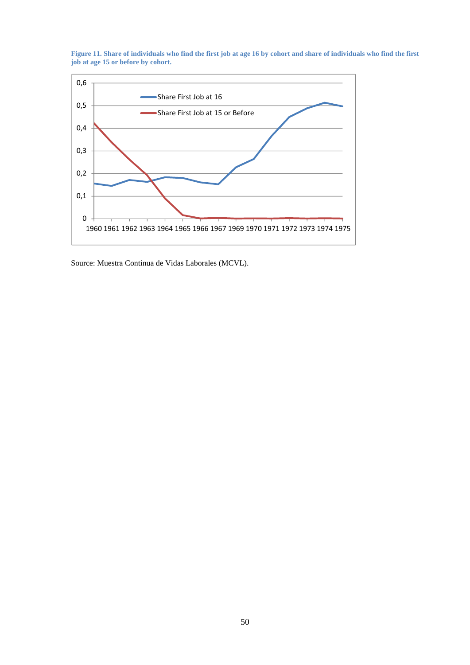



Source: Muestra Continua de Vidas Laborales (MCVL).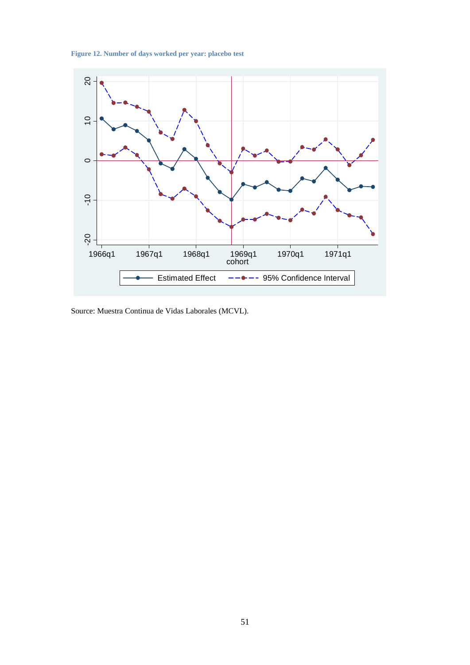**Figure 12. Number of days worked per year: placebo test**